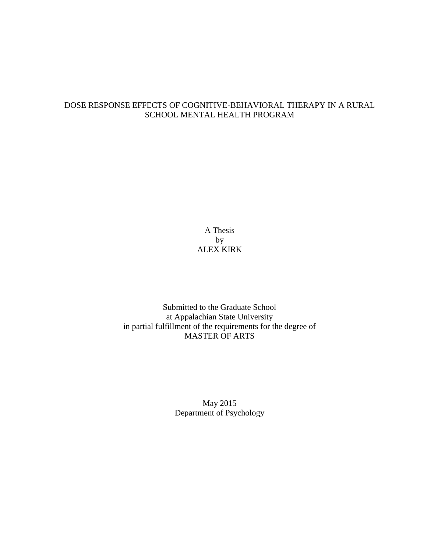# DOSE RESPONSE EFFECTS OF COGNITIVE-BEHAVIORAL THERAPY IN A RURAL SCHOOL MENTAL HEALTH PROGRAM

A Thesis by ALEX KIRK

Submitted to the Graduate School at Appalachian State University in partial fulfillment of the requirements for the degree of MASTER OF ARTS

> May 2015 Department of Psychology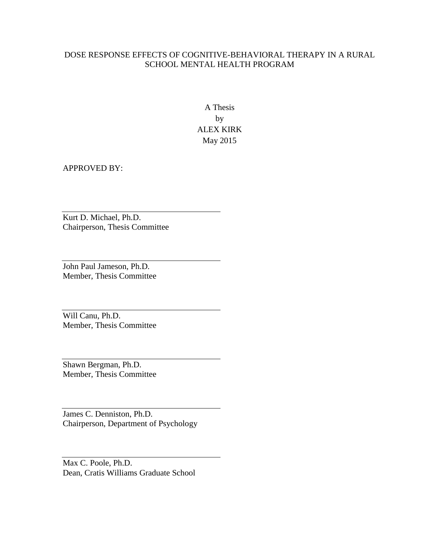# DOSE RESPONSE EFFECTS OF COGNITIVE-BEHAVIORAL THERAPY IN A RURAL SCHOOL MENTAL HEALTH PROGRAM

A Thesis by ALEX KIRK May 2015

APPROVED BY:

Kurt D. Michael, Ph.D. Chairperson, Thesis Committee

John Paul Jameson, Ph.D. Member, Thesis Committee

Will Canu, Ph.D. Member, Thesis Committee

Shawn Bergman, Ph.D. Member, Thesis Committee

James C. Denniston, Ph.D. Chairperson, Department of Psychology

Max C. Poole, Ph.D. Dean, Cratis Williams Graduate School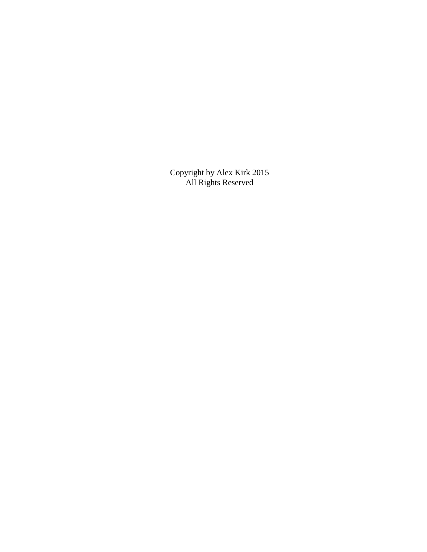Copyright by Alex Kirk 2015 All Rights Reserved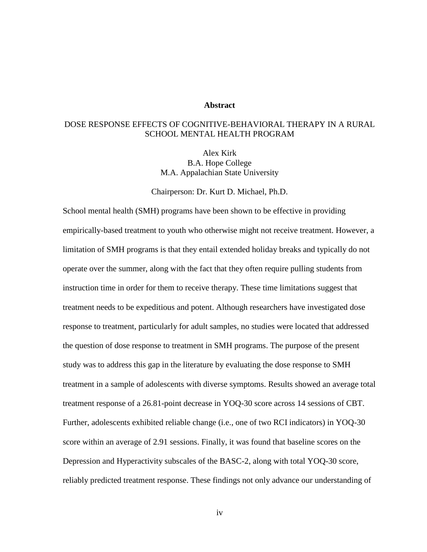# **Abstract**

# DOSE RESPONSE EFFECTS OF COGNITIVE-BEHAVIORAL THERAPY IN A RURAL SCHOOL MENTAL HEALTH PROGRAM

Alex Kirk B.A. Hope College M.A. Appalachian State University

Chairperson: Dr. Kurt D. Michael, Ph.D.

School mental health (SMH) programs have been shown to be effective in providing empirically-based treatment to youth who otherwise might not receive treatment. However, a limitation of SMH programs is that they entail extended holiday breaks and typically do not operate over the summer, along with the fact that they often require pulling students from instruction time in order for them to receive therapy. These time limitations suggest that treatment needs to be expeditious and potent. Although researchers have investigated dose response to treatment, particularly for adult samples, no studies were located that addressed the question of dose response to treatment in SMH programs. The purpose of the present study was to address this gap in the literature by evaluating the dose response to SMH treatment in a sample of adolescents with diverse symptoms. Results showed an average total treatment response of a 26.81-point decrease in YOQ-30 score across 14 sessions of CBT. Further, adolescents exhibited reliable change (i.e., one of two RCI indicators) in YOQ-30 score within an average of 2.91 sessions. Finally, it was found that baseline scores on the Depression and Hyperactivity subscales of the BASC-2, along with total YOQ-30 score, reliably predicted treatment response. These findings not only advance our understanding of

iv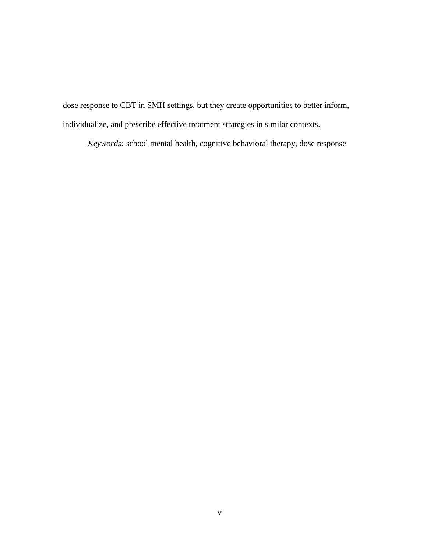dose response to CBT in SMH settings, but they create opportunities to better inform, individualize, and prescribe effective treatment strategies in similar contexts.

*Keywords:* school mental health, cognitive behavioral therapy, dose response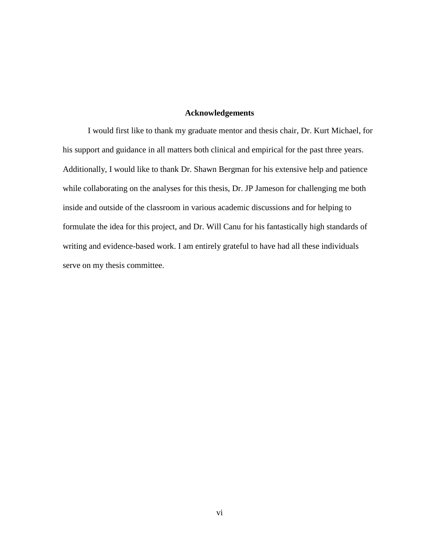# **Acknowledgements**

I would first like to thank my graduate mentor and thesis chair, Dr. Kurt Michael, for his support and guidance in all matters both clinical and empirical for the past three years. Additionally, I would like to thank Dr. Shawn Bergman for his extensive help and patience while collaborating on the analyses for this thesis, Dr. JP Jameson for challenging me both inside and outside of the classroom in various academic discussions and for helping to formulate the idea for this project, and Dr. Will Canu for his fantastically high standards of writing and evidence-based work. I am entirely grateful to have had all these individuals serve on my thesis committee.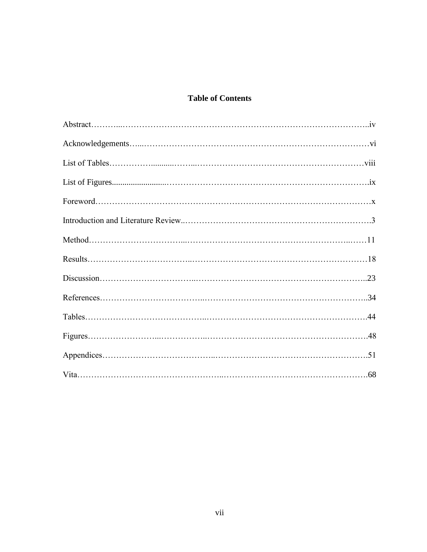# **Table of Contents**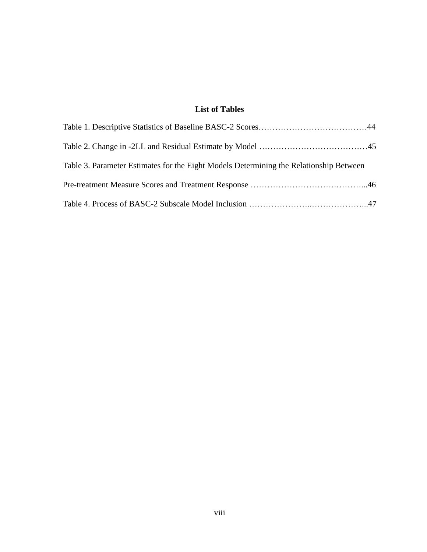# **List of Tables**

| Table 3. Parameter Estimates for the Eight Models Determining the Relationship Between |  |
|----------------------------------------------------------------------------------------|--|
|                                                                                        |  |
|                                                                                        |  |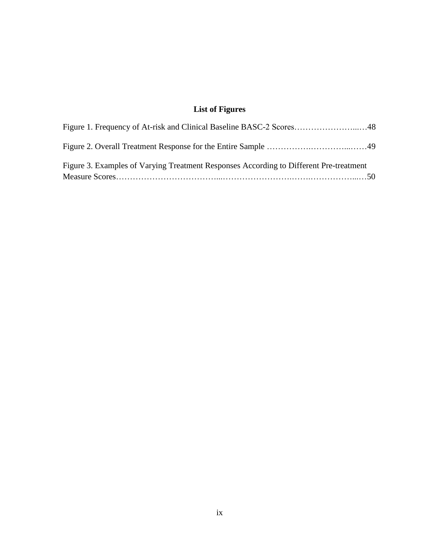# **List of Figures**

| Figure 3. Examples of Varying Treatment Responses According to Different Pre-treatment |  |
|----------------------------------------------------------------------------------------|--|
|                                                                                        |  |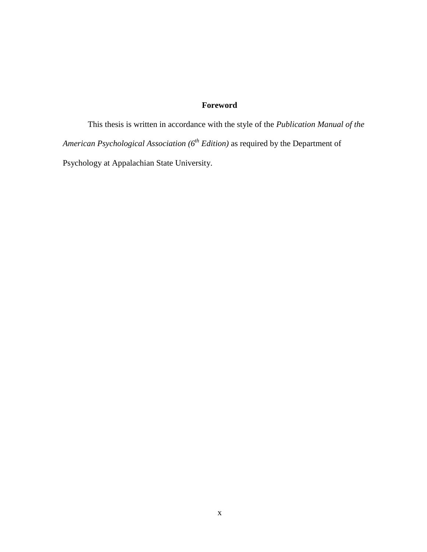# **Foreword**

This thesis is written in accordance with the style of the *Publication Manual of the American Psychological Association (6th Edition)* as required by the Department of Psychology at Appalachian State University.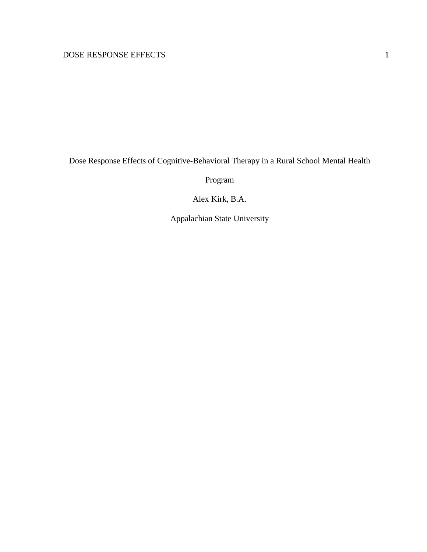Dose Response Effects of Cognitive-Behavioral Therapy in a Rural School Mental Health

Program

Alex Kirk, B.A.

Appalachian State University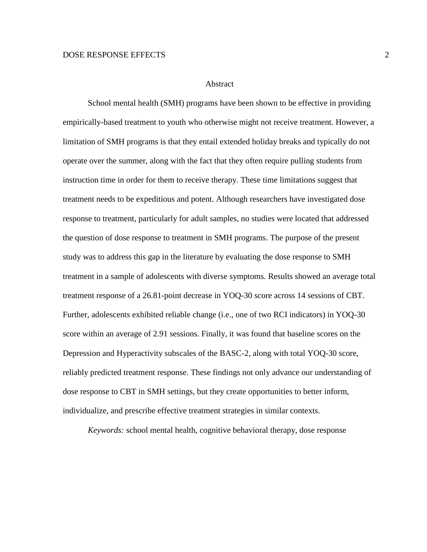#### Abstract

School mental health (SMH) programs have been shown to be effective in providing empirically-based treatment to youth who otherwise might not receive treatment. However, a limitation of SMH programs is that they entail extended holiday breaks and typically do not operate over the summer, along with the fact that they often require pulling students from instruction time in order for them to receive therapy. These time limitations suggest that treatment needs to be expeditious and potent. Although researchers have investigated dose response to treatment, particularly for adult samples, no studies were located that addressed the question of dose response to treatment in SMH programs. The purpose of the present study was to address this gap in the literature by evaluating the dose response to SMH treatment in a sample of adolescents with diverse symptoms. Results showed an average total treatment response of a 26.81-point decrease in YOQ-30 score across 14 sessions of CBT. Further, adolescents exhibited reliable change (i.e., one of two RCI indicators) in YOQ-30 score within an average of 2.91 sessions. Finally, it was found that baseline scores on the Depression and Hyperactivity subscales of the BASC-2, along with total YOQ-30 score, reliably predicted treatment response. These findings not only advance our understanding of dose response to CBT in SMH settings, but they create opportunities to better inform, individualize, and prescribe effective treatment strategies in similar contexts.

*Keywords:* school mental health, cognitive behavioral therapy, dose response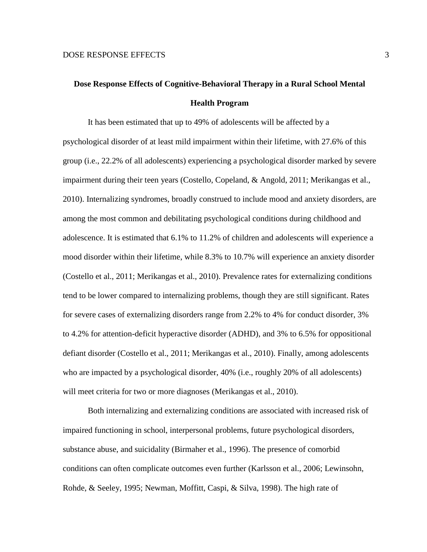# **Dose Response Effects of Cognitive-Behavioral Therapy in a Rural School Mental Health Program**

It has been estimated that up to 49% of adolescents will be affected by a psychological disorder of at least mild impairment within their lifetime, with 27.6% of this group (i.e., 22.2% of all adolescents) experiencing a psychological disorder marked by severe impairment during their teen years (Costello, Copeland, & Angold, 2011; Merikangas et al., 2010). Internalizing syndromes, broadly construed to include mood and anxiety disorders, are among the most common and debilitating psychological conditions during childhood and adolescence. It is estimated that 6.1% to 11.2% of children and adolescents will experience a mood disorder within their lifetime, while 8.3% to 10.7% will experience an anxiety disorder (Costello et al., 2011; Merikangas et al., 2010). Prevalence rates for externalizing conditions tend to be lower compared to internalizing problems, though they are still significant. Rates for severe cases of externalizing disorders range from 2.2% to 4% for conduct disorder, 3% to 4.2% for attention-deficit hyperactive disorder (ADHD), and 3% to 6.5% for oppositional defiant disorder (Costello et al., 2011; Merikangas et al., 2010). Finally, among adolescents who are impacted by a psychological disorder, 40% (i.e., roughly 20% of all adolescents) will meet criteria for two or more diagnoses (Merikangas et al., 2010).

Both internalizing and externalizing conditions are associated with increased risk of impaired functioning in school, interpersonal problems, future psychological disorders, substance abuse, and suicidality (Birmaher et al., 1996). The presence of comorbid conditions can often complicate outcomes even further (Karlsson et al., 2006; Lewinsohn, Rohde, & Seeley, 1995; Newman, Moffitt, Caspi, & Silva, 1998). The high rate of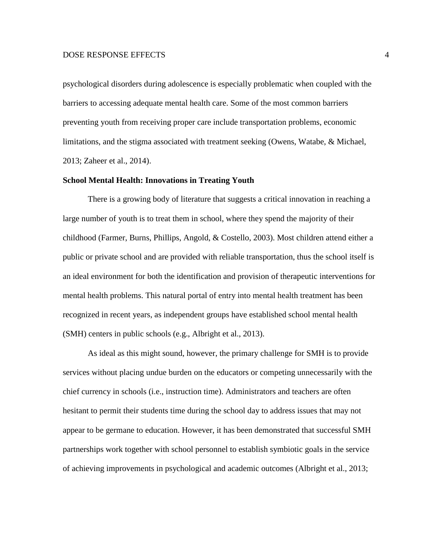psychological disorders during adolescence is especially problematic when coupled with the barriers to accessing adequate mental health care. Some of the most common barriers preventing youth from receiving proper care include transportation problems, economic limitations, and the stigma associated with treatment seeking (Owens, Watabe, & Michael, 2013; Zaheer et al., 2014).

#### **School Mental Health: Innovations in Treating Youth**

There is a growing body of literature that suggests a critical innovation in reaching a large number of youth is to treat them in school, where they spend the majority of their childhood (Farmer, Burns, Phillips, Angold, & Costello, 2003). Most children attend either a public or private school and are provided with reliable transportation, thus the school itself is an ideal environment for both the identification and provision of therapeutic interventions for mental health problems. This natural portal of entry into mental health treatment has been recognized in recent years, as independent groups have established school mental health (SMH) centers in public schools (e.g., Albright et al., 2013).

As ideal as this might sound, however, the primary challenge for SMH is to provide services without placing undue burden on the educators or competing unnecessarily with the chief currency in schools (i.e., instruction time). Administrators and teachers are often hesitant to permit their students time during the school day to address issues that may not appear to be germane to education. However, it has been demonstrated that successful SMH partnerships work together with school personnel to establish symbiotic goals in the service of achieving improvements in psychological and academic outcomes (Albright et al., 2013;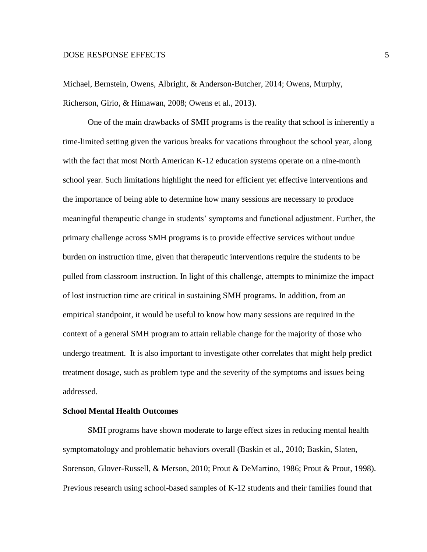Michael, Bernstein, Owens, Albright, & Anderson-Butcher, 2014; Owens, Murphy, Richerson, Girio, & Himawan, 2008; Owens et al., 2013).

One of the main drawbacks of SMH programs is the reality that school is inherently a time-limited setting given the various breaks for vacations throughout the school year, along with the fact that most North American K-12 education systems operate on a nine-month school year. Such limitations highlight the need for efficient yet effective interventions and the importance of being able to determine how many sessions are necessary to produce meaningful therapeutic change in students' symptoms and functional adjustment. Further, the primary challenge across SMH programs is to provide effective services without undue burden on instruction time, given that therapeutic interventions require the students to be pulled from classroom instruction. In light of this challenge, attempts to minimize the impact of lost instruction time are critical in sustaining SMH programs. In addition, from an empirical standpoint, it would be useful to know how many sessions are required in the context of a general SMH program to attain reliable change for the majority of those who undergo treatment. It is also important to investigate other correlates that might help predict treatment dosage, such as problem type and the severity of the symptoms and issues being addressed.

# **School Mental Health Outcomes**

SMH programs have shown moderate to large effect sizes in reducing mental health symptomatology and problematic behaviors overall (Baskin et al., 2010; Baskin, Slaten, Sorenson, Glover-Russell, & Merson, 2010; Prout & DeMartino, 1986; Prout & Prout, 1998). Previous research using school-based samples of K-12 students and their families found that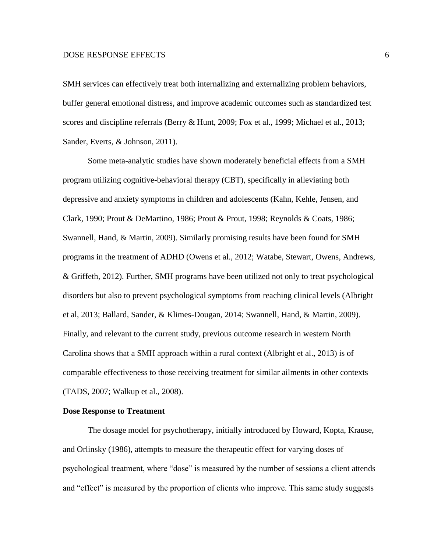SMH services can effectively treat both internalizing and externalizing problem behaviors, buffer general emotional distress, and improve academic outcomes such as standardized test scores and discipline referrals (Berry & Hunt, 2009; Fox et al., 1999; Michael et al., 2013; Sander, Everts, & Johnson, 2011).

Some meta-analytic studies have shown moderately beneficial effects from a SMH program utilizing cognitive-behavioral therapy (CBT), specifically in alleviating both depressive and anxiety symptoms in children and adolescents (Kahn, Kehle, Jensen, and Clark, 1990; Prout & DeMartino, 1986; Prout & Prout, 1998; Reynolds & Coats, 1986; Swannell, Hand, & Martin, 2009). Similarly promising results have been found for SMH programs in the treatment of ADHD (Owens et al., 2012; Watabe, Stewart, Owens, Andrews, & Griffeth, 2012). Further, SMH programs have been utilized not only to treat psychological disorders but also to prevent psychological symptoms from reaching clinical levels (Albright et al, 2013; Ballard, Sander, & Klimes-Dougan, 2014; Swannell, Hand, & Martin, 2009). Finally, and relevant to the current study, previous outcome research in western North Carolina shows that a SMH approach within a rural context (Albright et al., 2013) is of comparable effectiveness to those receiving treatment for similar ailments in other contexts (TADS, 2007; Walkup et al., 2008).

#### **Dose Response to Treatment**

The dosage model for psychotherapy, initially introduced by Howard, Kopta, Krause, and Orlinsky (1986), attempts to measure the therapeutic effect for varying doses of psychological treatment, where "dose" is measured by the number of sessions a client attends and "effect" is measured by the proportion of clients who improve. This same study suggests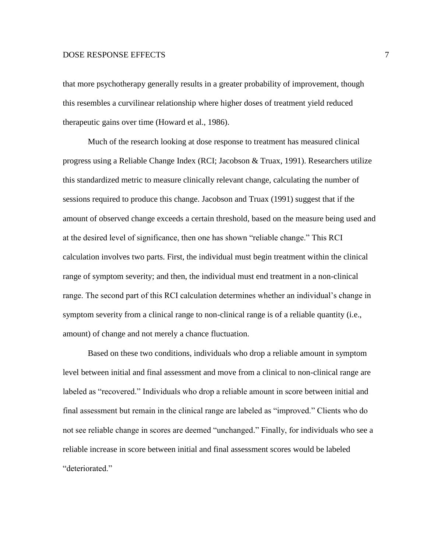that more psychotherapy generally results in a greater probability of improvement, though this resembles a curvilinear relationship where higher doses of treatment yield reduced therapeutic gains over time (Howard et al., 1986).

Much of the research looking at dose response to treatment has measured clinical progress using a Reliable Change Index (RCI; Jacobson & Truax, 1991). Researchers utilize this standardized metric to measure clinically relevant change, calculating the number of sessions required to produce this change. Jacobson and Truax (1991) suggest that if the amount of observed change exceeds a certain threshold, based on the measure being used and at the desired level of significance, then one has shown "reliable change." This RCI calculation involves two parts. First, the individual must begin treatment within the clinical range of symptom severity; and then, the individual must end treatment in a non-clinical range. The second part of this RCI calculation determines whether an individual's change in symptom severity from a clinical range to non-clinical range is of a reliable quantity (i.e., amount) of change and not merely a chance fluctuation.

Based on these two conditions, individuals who drop a reliable amount in symptom level between initial and final assessment and move from a clinical to non-clinical range are labeled as "recovered." Individuals who drop a reliable amount in score between initial and final assessment but remain in the clinical range are labeled as "improved." Clients who do not see reliable change in scores are deemed "unchanged." Finally, for individuals who see a reliable increase in score between initial and final assessment scores would be labeled "deteriorated."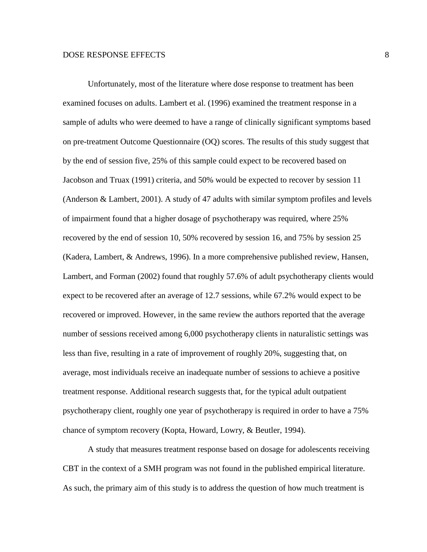Unfortunately, most of the literature where dose response to treatment has been examined focuses on adults. Lambert et al. (1996) examined the treatment response in a sample of adults who were deemed to have a range of clinically significant symptoms based on pre-treatment Outcome Questionnaire (OQ) scores. The results of this study suggest that by the end of session five, 25% of this sample could expect to be recovered based on Jacobson and Truax (1991) criteria, and 50% would be expected to recover by session 11 (Anderson & Lambert, 2001). A study of 47 adults with similar symptom profiles and levels of impairment found that a higher dosage of psychotherapy was required, where 25% recovered by the end of session 10, 50% recovered by session 16, and 75% by session 25 (Kadera, Lambert, & Andrews, 1996). In a more comprehensive published review, Hansen, Lambert, and Forman (2002) found that roughly 57.6% of adult psychotherapy clients would expect to be recovered after an average of 12.7 sessions, while 67.2% would expect to be recovered or improved. However, in the same review the authors reported that the average number of sessions received among 6,000 psychotherapy clients in naturalistic settings was less than five, resulting in a rate of improvement of roughly 20%, suggesting that, on average, most individuals receive an inadequate number of sessions to achieve a positive treatment response. Additional research suggests that, for the typical adult outpatient psychotherapy client, roughly one year of psychotherapy is required in order to have a 75% chance of symptom recovery (Kopta, Howard, Lowry, & Beutler, 1994).

A study that measures treatment response based on dosage for adolescents receiving CBT in the context of a SMH program was not found in the published empirical literature. As such, the primary aim of this study is to address the question of how much treatment is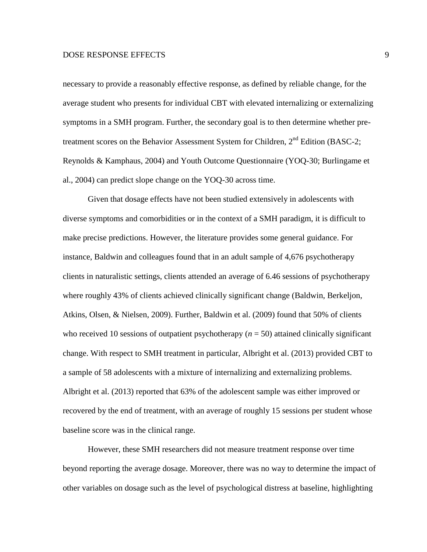necessary to provide a reasonably effective response, as defined by reliable change, for the average student who presents for individual CBT with elevated internalizing or externalizing symptoms in a SMH program. Further, the secondary goal is to then determine whether pretreatment scores on the Behavior Assessment System for Children, 2<sup>nd</sup> Edition (BASC-2; Reynolds & Kamphaus, 2004) and Youth Outcome Questionnaire (YOQ-30; Burlingame et al., 2004) can predict slope change on the YOQ-30 across time.

Given that dosage effects have not been studied extensively in adolescents with diverse symptoms and comorbidities or in the context of a SMH paradigm, it is difficult to make precise predictions. However, the literature provides some general guidance. For instance, Baldwin and colleagues found that in an adult sample of 4,676 psychotherapy clients in naturalistic settings, clients attended an average of 6.46 sessions of psychotherapy where roughly 43% of clients achieved clinically significant change (Baldwin, Berkeljon, Atkins, Olsen, & Nielsen, 2009). Further, Baldwin et al. (2009) found that 50% of clients who received 10 sessions of outpatient psychotherapy  $(n = 50)$  attained clinically significant change. With respect to SMH treatment in particular, Albright et al. (2013) provided CBT to a sample of 58 adolescents with a mixture of internalizing and externalizing problems. Albright et al. (2013) reported that 63% of the adolescent sample was either improved or recovered by the end of treatment, with an average of roughly 15 sessions per student whose baseline score was in the clinical range.

However, these SMH researchers did not measure treatment response over time beyond reporting the average dosage. Moreover, there was no way to determine the impact of other variables on dosage such as the level of psychological distress at baseline, highlighting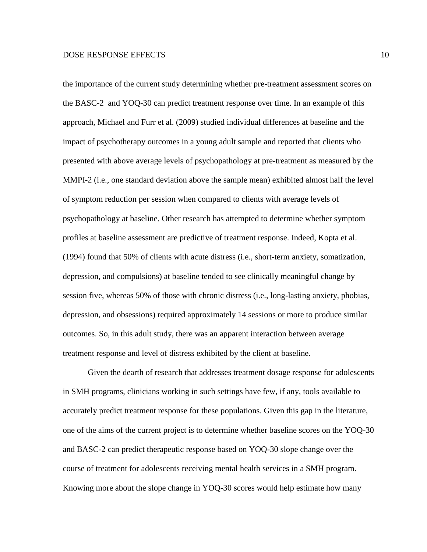the importance of the current study determining whether pre-treatment assessment scores on the BASC-2 and YOQ-30 can predict treatment response over time. In an example of this approach, Michael and Furr et al. (2009) studied individual differences at baseline and the impact of psychotherapy outcomes in a young adult sample and reported that clients who presented with above average levels of psychopathology at pre-treatment as measured by the MMPI-2 (i.e., one standard deviation above the sample mean) exhibited almost half the level of symptom reduction per session when compared to clients with average levels of psychopathology at baseline. Other research has attempted to determine whether symptom profiles at baseline assessment are predictive of treatment response. Indeed, Kopta et al. (1994) found that 50% of clients with acute distress (i.e., short-term anxiety, somatization, depression, and compulsions) at baseline tended to see clinically meaningful change by session five, whereas 50% of those with chronic distress (i.e., long-lasting anxiety, phobias, depression, and obsessions) required approximately 14 sessions or more to produce similar outcomes. So, in this adult study, there was an apparent interaction between average treatment response and level of distress exhibited by the client at baseline.

Given the dearth of research that addresses treatment dosage response for adolescents in SMH programs, clinicians working in such settings have few, if any, tools available to accurately predict treatment response for these populations. Given this gap in the literature, one of the aims of the current project is to determine whether baseline scores on the YOQ-30 and BASC-2 can predict therapeutic response based on YOQ-30 slope change over the course of treatment for adolescents receiving mental health services in a SMH program. Knowing more about the slope change in YOQ-30 scores would help estimate how many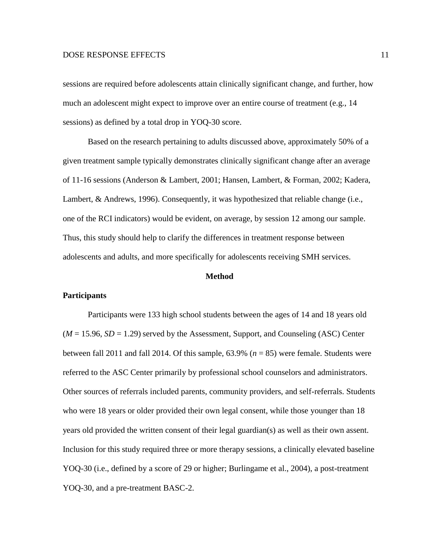sessions are required before adolescents attain clinically significant change, and further, how much an adolescent might expect to improve over an entire course of treatment (e.g., 14 sessions) as defined by a total drop in YOQ-30 score.

Based on the research pertaining to adults discussed above, approximately 50% of a given treatment sample typically demonstrates clinically significant change after an average of 11-16 sessions (Anderson & Lambert, 2001; Hansen, Lambert, & Forman, 2002; Kadera, Lambert, & Andrews, 1996). Consequently, it was hypothesized that reliable change (i.e., one of the RCI indicators) would be evident, on average, by session 12 among our sample. Thus, this study should help to clarify the differences in treatment response between adolescents and adults, and more specifically for adolescents receiving SMH services.

#### **Method**

# **Participants**

Participants were 133 high school students between the ages of 14 and 18 years old  $(M = 15.96, SD = 1.29)$  served by the Assessment, Support, and Counseling (ASC) Center between fall 2011 and fall 2014. Of this sample, 63.9% (*n* = 85) were female. Students were referred to the ASC Center primarily by professional school counselors and administrators. Other sources of referrals included parents, community providers, and self-referrals. Students who were 18 years or older provided their own legal consent, while those younger than 18 years old provided the written consent of their legal guardian(s) as well as their own assent. Inclusion for this study required three or more therapy sessions, a clinically elevated baseline YOQ-30 (i.e., defined by a score of 29 or higher; Burlingame et al., 2004), a post-treatment YOQ-30, and a pre-treatment BASC-2.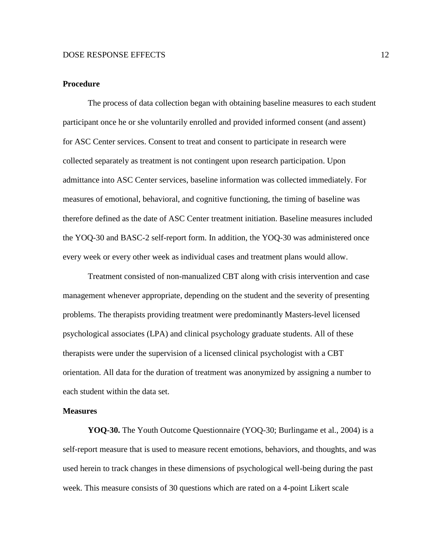## **Procedure**

The process of data collection began with obtaining baseline measures to each student participant once he or she voluntarily enrolled and provided informed consent (and assent) for ASC Center services. Consent to treat and consent to participate in research were collected separately as treatment is not contingent upon research participation. Upon admittance into ASC Center services, baseline information was collected immediately. For measures of emotional, behavioral, and cognitive functioning, the timing of baseline was therefore defined as the date of ASC Center treatment initiation. Baseline measures included the YOQ-30 and BASC-2 self-report form. In addition, the YOQ-30 was administered once every week or every other week as individual cases and treatment plans would allow.

Treatment consisted of non-manualized CBT along with crisis intervention and case management whenever appropriate, depending on the student and the severity of presenting problems. The therapists providing treatment were predominantly Masters-level licensed psychological associates (LPA) and clinical psychology graduate students. All of these therapists were under the supervision of a licensed clinical psychologist with a CBT orientation. All data for the duration of treatment was anonymized by assigning a number to each student within the data set.

#### **Measures**

**YOQ-30.** The Youth Outcome Questionnaire (YOQ-30; Burlingame et al., 2004) is a self-report measure that is used to measure recent emotions, behaviors, and thoughts, and was used herein to track changes in these dimensions of psychological well-being during the past week. This measure consists of 30 questions which are rated on a 4-point Likert scale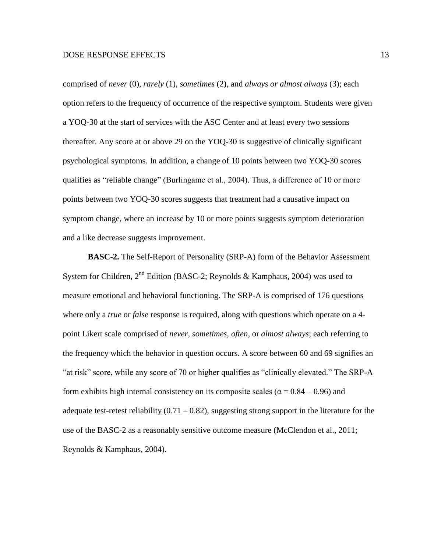comprised of *never* (0), *rarely* (1), *sometimes* (2), and *always or almost always* (3); each option refers to the frequency of occurrence of the respective symptom. Students were given a YOQ-30 at the start of services with the ASC Center and at least every two sessions thereafter. Any score at or above 29 on the YOQ-30 is suggestive of clinically significant psychological symptoms. In addition, a change of 10 points between two YOQ-30 scores qualifies as "reliable change" (Burlingame et al., 2004). Thus, a difference of 10 or more points between two YOQ-30 scores suggests that treatment had a causative impact on symptom change, where an increase by 10 or more points suggests symptom deterioration and a like decrease suggests improvement.

**BASC-2.** The Self-Report of Personality (SRP-A) form of the Behavior Assessment System for Children,  $2<sup>nd</sup>$  Edition (BASC-2; Reynolds & Kamphaus, 2004) was used to measure emotional and behavioral functioning. The SRP-A is comprised of 176 questions where only a *true* or *false* response is required, along with questions which operate on a 4 point Likert scale comprised of *never*, *sometimes*, *often*, or *almost always*; each referring to the frequency which the behavior in question occurs. A score between 60 and 69 signifies an "at risk" score, while any score of 70 or higher qualifies as "clinically elevated." The SRP-A form exhibits high internal consistency on its composite scales ( $\alpha$  = 0.84 – 0.96) and adequate test-retest reliability  $(0.71 - 0.82)$ , suggesting strong support in the literature for the use of the BASC-2 as a reasonably sensitive outcome measure (McClendon et al., 2011; Reynolds & Kamphaus, 2004).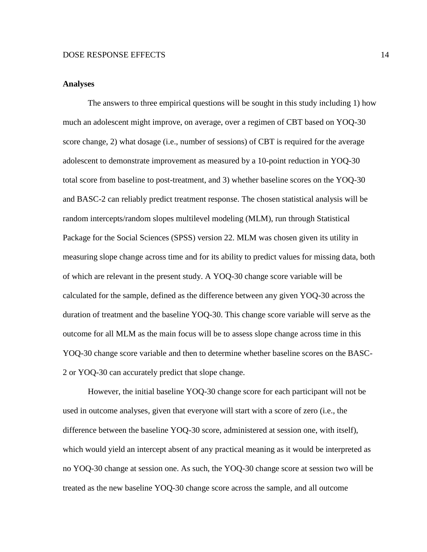# **Analyses**

The answers to three empirical questions will be sought in this study including 1) how much an adolescent might improve, on average, over a regimen of CBT based on YOQ-30 score change, 2) what dosage (i.e., number of sessions) of CBT is required for the average adolescent to demonstrate improvement as measured by a 10-point reduction in YOQ-30 total score from baseline to post-treatment, and 3) whether baseline scores on the YOQ-30 and BASC-2 can reliably predict treatment response. The chosen statistical analysis will be random intercepts/random slopes multilevel modeling (MLM), run through Statistical Package for the Social Sciences (SPSS) version 22. MLM was chosen given its utility in measuring slope change across time and for its ability to predict values for missing data, both of which are relevant in the present study. A YOQ-30 change score variable will be calculated for the sample, defined as the difference between any given YOQ-30 across the duration of treatment and the baseline YOQ-30. This change score variable will serve as the outcome for all MLM as the main focus will be to assess slope change across time in this YOQ-30 change score variable and then to determine whether baseline scores on the BASC-2 or YOQ-30 can accurately predict that slope change.

However, the initial baseline YOQ-30 change score for each participant will not be used in outcome analyses, given that everyone will start with a score of zero (i.e., the difference between the baseline YOQ-30 score, administered at session one, with itself), which would yield an intercept absent of any practical meaning as it would be interpreted as no YOQ-30 change at session one. As such, the YOQ-30 change score at session two will be treated as the new baseline YOQ-30 change score across the sample, and all outcome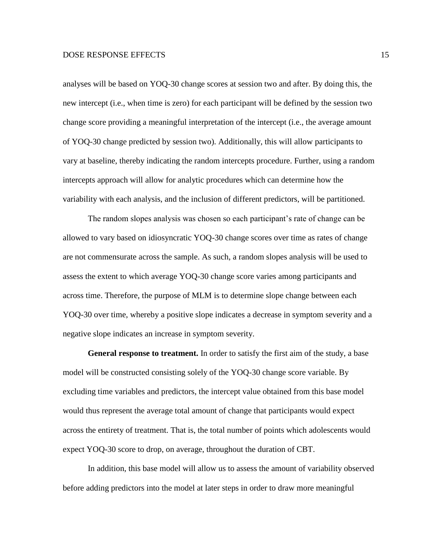analyses will be based on YOQ-30 change scores at session two and after. By doing this, the new intercept (i.e., when time is zero) for each participant will be defined by the session two change score providing a meaningful interpretation of the intercept (i.e., the average amount of YOQ-30 change predicted by session two). Additionally, this will allow participants to vary at baseline, thereby indicating the random intercepts procedure. Further, using a random intercepts approach will allow for analytic procedures which can determine how the variability with each analysis, and the inclusion of different predictors, will be partitioned.

The random slopes analysis was chosen so each participant's rate of change can be allowed to vary based on idiosyncratic YOQ-30 change scores over time as rates of change are not commensurate across the sample. As such, a random slopes analysis will be used to assess the extent to which average YOQ-30 change score varies among participants and across time. Therefore, the purpose of MLM is to determine slope change between each YOQ-30 over time, whereby a positive slope indicates a decrease in symptom severity and a negative slope indicates an increase in symptom severity.

**General response to treatment.** In order to satisfy the first aim of the study, a base model will be constructed consisting solely of the YOQ-30 change score variable. By excluding time variables and predictors, the intercept value obtained from this base model would thus represent the average total amount of change that participants would expect across the entirety of treatment. That is, the total number of points which adolescents would expect YOQ-30 score to drop, on average, throughout the duration of CBT.

In addition, this base model will allow us to assess the amount of variability observed before adding predictors into the model at later steps in order to draw more meaningful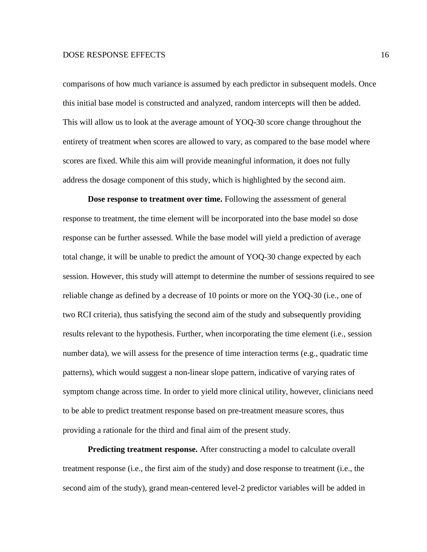comparisons of how much variance is assumed by each predictor in subsequent models. Once this initial base model is constructed and analyzed, random intercepts will then be added. This will allow us to look at the average amount of YOQ-30 score change throughout the entirety of treatment when scores are allowed to vary, as compared to the base model where scores are fixed. While this aim will provide meaningful information, it does not fully address the dosage component of this study, which is highlighted by the second aim.

**Dose response to treatment over time.** Following the assessment of general response to treatment, the time element will be incorporated into the base model so dose response can be further assessed. While the base model will yield a prediction of average total change, it will be unable to predict the amount of YOQ-30 change expected by each session. However, this study will attempt to determine the number of sessions required to see reliable change as defined by a decrease of 10 points or more on the YOQ-30 (i.e., one of two RCI criteria), thus satisfying the second aim of the study and subsequently providing results relevant to the hypothesis. Further, when incorporating the time element (i.e., session number data), we will assess for the presence of time interaction terms (e.g., quadratic time patterns), which would suggest a non-linear slope pattern, indicative of varying rates of symptom change across time. In order to yield more clinical utility, however, clinicians need to be able to predict treatment response based on pre-treatment measure scores, thus providing a rationale for the third and final aim of the present study.

**Predicting treatment response.** After constructing a model to calculate overall treatment response (i.e., the first aim of the study) and dose response to treatment (i.e., the second aim of the study), grand mean-centered level-2 predictor variables will be added in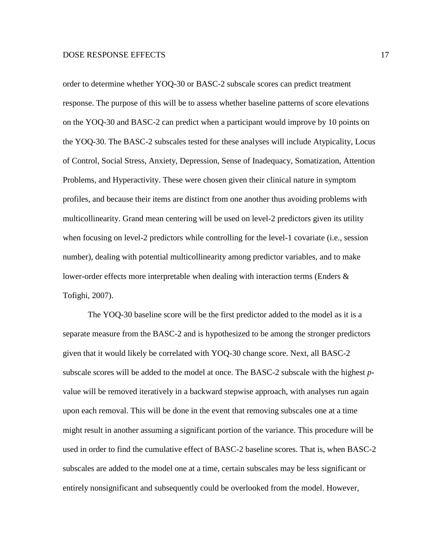order to determine whether YOQ-30 or BASC-2 subscale scores can predict treatment response. The purpose of this will be to assess whether baseline patterns of score elevations on the YOQ-30 and BASC-2 can predict when a participant would improve by 10 points on the YOQ-30. The BASC-2 subscales tested for these analyses will include Atypicality, Locus of Control, Social Stress, Anxiety, Depression, Sense of Inadequacy, Somatization, Attention Problems, and Hyperactivity. These were chosen given their clinical nature in symptom profiles, and because their items are distinct from one another thus avoiding problems with multicollinearity. Grand mean centering will be used on level-2 predictors given its utility when focusing on level-2 predictors while controlling for the level-1 covariate (i.e., session number), dealing with potential multicollinearity among predictor variables, and to make lower-order effects more interpretable when dealing with interaction terms (Enders & Tofighi, 2007).

The YOQ-30 baseline score will be the first predictor added to the model as it is a separate measure from the BASC-2 and is hypothesized to be among the stronger predictors given that it would likely be correlated with YOQ-30 change score. Next, all BASC-2 subscale scores will be added to the model at once. The BASC-2 subscale with the highest *p*value will be removed iteratively in a backward stepwise approach, with analyses run again upon each removal. This will be done in the event that removing subscales one at a time might result in another assuming a significant portion of the variance. This procedure will be used in order to find the cumulative effect of BASC-2 baseline scores. That is, when BASC-2 subscales are added to the model one at a time, certain subscales may be less significant or entirely nonsignificant and subsequently could be overlooked from the model. However,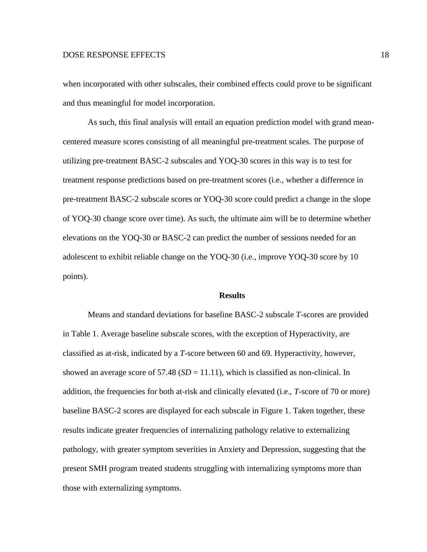when incorporated with other subscales, their combined effects could prove to be significant and thus meaningful for model incorporation.

As such, this final analysis will entail an equation prediction model with grand meancentered measure scores consisting of all meaningful pre-treatment scales. The purpose of utilizing pre-treatment BASC-2 subscales and YOQ-30 scores in this way is to test for treatment response predictions based on pre-treatment scores (i.e., whether a difference in pre-treatment BASC-2 subscale scores or YOQ-30 score could predict a change in the slope of YOQ-30 change score over time). As such, the ultimate aim will be to determine whether elevations on the YOQ-30 or BASC-2 can predict the number of sessions needed for an adolescent to exhibit reliable change on the YOQ-30 (i.e., improve YOQ-30 score by 10 points).

# **Results**

Means and standard deviations for baseline BASC-2 subscale *T*-scores are provided in Table 1. Average baseline subscale scores, with the exception of Hyperactivity, are classified as at-risk, indicated by a *T*-score between 60 and 69. Hyperactivity, however, showed an average score of  $57.48$  ( $SD = 11.11$ ), which is classified as non-clinical. In addition, the frequencies for both at-risk and clinically elevated (i.e., *T*-score of 70 or more) baseline BASC-2 scores are displayed for each subscale in Figure 1. Taken together, these results indicate greater frequencies of internalizing pathology relative to externalizing pathology, with greater symptom severities in Anxiety and Depression, suggesting that the present SMH program treated students struggling with internalizing symptoms more than those with externalizing symptoms.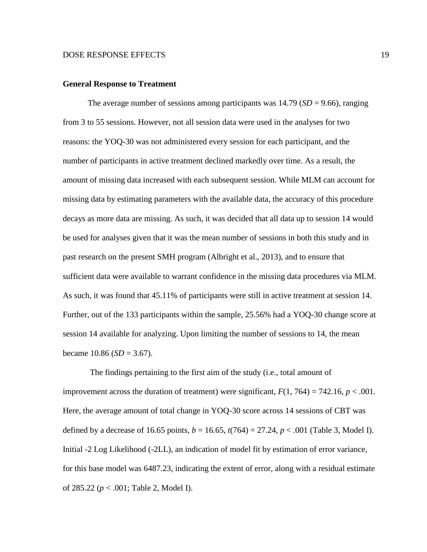#### **General Response to Treatment**

The average number of sessions among participants was  $14.79$  (*SD* = 9.66), ranging from 3 to 55 sessions. However, not all session data were used in the analyses for two reasons: the YOQ-30 was not administered every session for each participant, and the number of participants in active treatment declined markedly over time. As a result, the amount of missing data increased with each subsequent session. While MLM can account for missing data by estimating parameters with the available data, the accuracy of this procedure decays as more data are missing. As such, it was decided that all data up to session 14 would be used for analyses given that it was the mean number of sessions in both this study and in past research on the present SMH program (Albright et al., 2013), and to ensure that sufficient data were available to warrant confidence in the missing data procedures via MLM. As such, it was found that 45.11% of participants were still in active treatment at session 14. Further, out of the 133 participants within the sample, 25.56% had a YOQ-30 change score at session 14 available for analyzing. Upon limiting the number of sessions to 14, the mean became  $10.86$  (*SD* = 3.67).

The findings pertaining to the first aim of the study (i.e., total amount of improvement across the duration of treatment) were significant,  $F(1, 764) = 742.16$ ,  $p < .001$ . Here, the average amount of total change in YOQ-30 score across 14 sessions of CBT was defined by a decrease of 16.65 points,  $b = 16.65$ ,  $t(764) = 27.24$ ,  $p < .001$  (Table 3, Model I). Initial -2 Log Likelihood (-2LL), an indication of model fit by estimation of error variance, for this base model was 6487.23, indicating the extent of error, along with a residual estimate of 285.22 (*p* < .001; Table 2, Model I).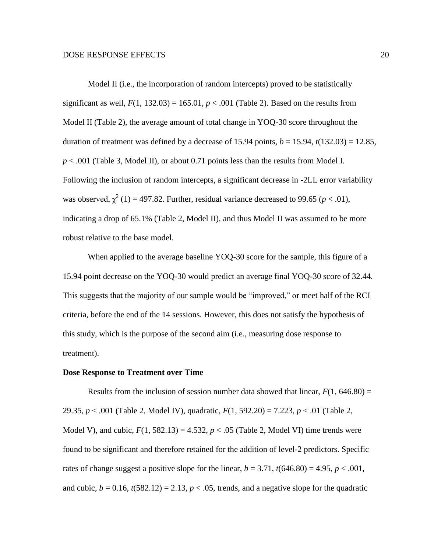Model II (i.e., the incorporation of random intercepts) proved to be statistically significant as well,  $F(1, 132.03) = 165.01$ ,  $p < .001$  (Table 2). Based on the results from Model II (Table 2), the average amount of total change in YOQ-30 score throughout the duration of treatment was defined by a decrease of 15.94 points,  $b = 15.94$ ,  $t(132.03) = 12.85$ , *p* < .001 (Table 3, Model II), or about 0.71 points less than the results from Model I. Following the inclusion of random intercepts, a significant decrease in -2LL error variability was observed,  $\chi^2$  (1) = 497.82. Further, residual variance decreased to 99.65 ( $p < .01$ ), indicating a drop of 65.1% (Table 2, Model II), and thus Model II was assumed to be more robust relative to the base model.

When applied to the average baseline YOQ-30 score for the sample, this figure of a 15.94 point decrease on the YOQ-30 would predict an average final YOQ-30 score of 32.44. This suggests that the majority of our sample would be "improved," or meet half of the RCI criteria, before the end of the 14 sessions. However, this does not satisfy the hypothesis of this study, which is the purpose of the second aim (i.e., measuring dose response to treatment).

# **Dose Response to Treatment over Time**

Results from the inclusion of session number data showed that linear,  $F(1, 646.80) =$ 29.35, *p* < .001 (Table 2, Model IV), quadratic, *F*(1, 592.20) = 7.223, *p* < .01 (Table 2, Model V), and cubic,  $F(1, 582.13) = 4.532$ ,  $p < .05$  (Table 2, Model VI) time trends were found to be significant and therefore retained for the addition of level-2 predictors. Specific rates of change suggest a positive slope for the linear,  $b = 3.71$ ,  $t(646.80) = 4.95$ ,  $p < .001$ , and cubic,  $b = 0.16$ ,  $t(582.12) = 2.13$ ,  $p < .05$ , trends, and a negative slope for the quadratic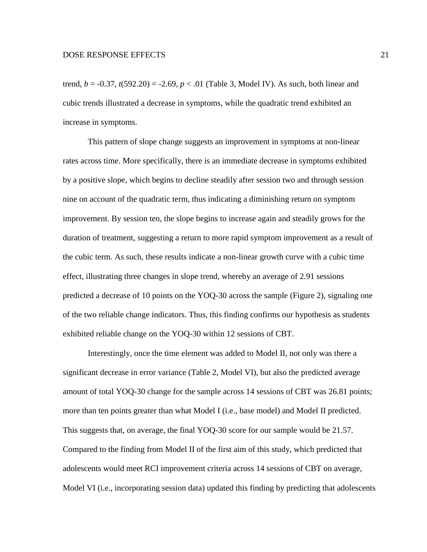trend,  $b = -0.37$ ,  $t(592.20) = -2.69$ ,  $p < .01$  (Table 3, Model IV). As such, both linear and cubic trends illustrated a decrease in symptoms, while the quadratic trend exhibited an increase in symptoms.

This pattern of slope change suggests an improvement in symptoms at non-linear rates across time. More specifically, there is an immediate decrease in symptoms exhibited by a positive slope, which begins to decline steadily after session two and through session nine on account of the quadratic term, thus indicating a diminishing return on symptom improvement. By session ten, the slope begins to increase again and steadily grows for the duration of treatment, suggesting a return to more rapid symptom improvement as a result of the cubic term. As such, these results indicate a non-linear growth curve with a cubic time effect, illustrating three changes in slope trend, whereby an average of 2.91 sessions predicted a decrease of 10 points on the YOQ-30 across the sample (Figure 2), signaling one of the two reliable change indicators. Thus, this finding confirms our hypothesis as students exhibited reliable change on the YOQ-30 within 12 sessions of CBT.

Interestingly, once the time element was added to Model II, not only was there a significant decrease in error variance (Table 2, Model VI), but also the predicted average amount of total YOQ-30 change for the sample across 14 sessions of CBT was 26.81 points; more than ten points greater than what Model I (i.e., base model) and Model II predicted. This suggests that, on average, the final YOQ-30 score for our sample would be 21.57. Compared to the finding from Model II of the first aim of this study, which predicted that adolescents would meet RCI improvement criteria across 14 sessions of CBT on average, Model VI (i.e., incorporating session data) updated this finding by predicting that adolescents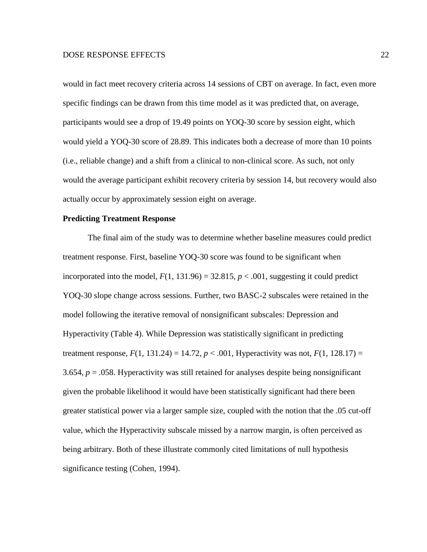would in fact meet recovery criteria across 14 sessions of CBT on average. In fact, even more specific findings can be drawn from this time model as it was predicted that, on average, participants would see a drop of 19.49 points on YOQ-30 score by session eight, which would yield a YOQ-30 score of 28.89. This indicates both a decrease of more than 10 points (i.e., reliable change) and a shift from a clinical to non-clinical score. As such, not only would the average participant exhibit recovery criteria by session 14, but recovery would also actually occur by approximately session eight on average.

# **Predicting Treatment Response**

The final aim of the study was to determine whether baseline measures could predict treatment response. First, baseline YOQ-30 score was found to be significant when incorporated into the model,  $F(1, 131.96) = 32.815$ ,  $p < .001$ , suggesting it could predict YOQ-30 slope change across sessions. Further, two BASC-2 subscales were retained in the model following the iterative removal of nonsignificant subscales: Depression and Hyperactivity (Table 4). While Depression was statistically significant in predicting treatment response,  $F(1, 131.24) = 14.72$ ,  $p < .001$ , Hyperactivity was not,  $F(1, 128.17) =$ 3.654,  $p = 0.058$ . Hyperactivity was still retained for analyses despite being nonsignificant given the probable likelihood it would have been statistically significant had there been greater statistical power via a larger sample size, coupled with the notion that the .05 cut-off value, which the Hyperactivity subscale missed by a narrow margin, is often perceived as being arbitrary. Both of these illustrate commonly cited limitations of null hypothesis significance testing (Cohen, 1994).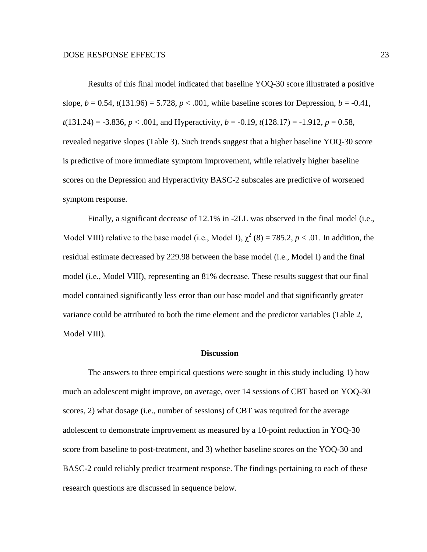Results of this final model indicated that baseline YOQ-30 score illustrated a positive slope,  $b = 0.54$ ,  $t(131.96) = 5.728$ ,  $p < .001$ , while baseline scores for Depression,  $b = -0.41$ ,  $t(131.24) = -3.836$ ,  $p < .001$ , and Hyperactivity,  $b = -0.19$ ,  $t(128.17) = -1.912$ ,  $p = 0.58$ , revealed negative slopes (Table 3). Such trends suggest that a higher baseline YOQ-30 score is predictive of more immediate symptom improvement, while relatively higher baseline scores on the Depression and Hyperactivity BASC-2 subscales are predictive of worsened symptom response.

Finally, a significant decrease of 12.1% in -2LL was observed in the final model (i.e., Model VIII) relative to the base model (i.e., Model I),  $\chi^2$  (8) = 785.2, *p* < .01. In addition, the residual estimate decreased by 229.98 between the base model (i.e., Model I) and the final model (i.e., Model VIII), representing an 81% decrease. These results suggest that our final model contained significantly less error than our base model and that significantly greater variance could be attributed to both the time element and the predictor variables (Table 2, Model VIII).

#### **Discussion**

The answers to three empirical questions were sought in this study including 1) how much an adolescent might improve, on average, over 14 sessions of CBT based on YOQ-30 scores, 2) what dosage (i.e., number of sessions) of CBT was required for the average adolescent to demonstrate improvement as measured by a 10-point reduction in YOQ-30 score from baseline to post-treatment, and 3) whether baseline scores on the YOQ-30 and BASC-2 could reliably predict treatment response. The findings pertaining to each of these research questions are discussed in sequence below.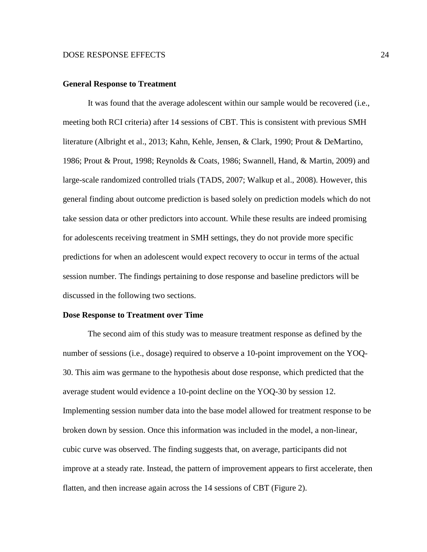#### **General Response to Treatment**

It was found that the average adolescent within our sample would be recovered (i.e., meeting both RCI criteria) after 14 sessions of CBT. This is consistent with previous SMH literature (Albright et al., 2013; Kahn, Kehle, Jensen, & Clark, 1990; Prout & DeMartino, 1986; Prout & Prout, 1998; Reynolds & Coats, 1986; Swannell, Hand, & Martin, 2009) and large-scale randomized controlled trials (TADS, 2007; Walkup et al., 2008). However, this general finding about outcome prediction is based solely on prediction models which do not take session data or other predictors into account. While these results are indeed promising for adolescents receiving treatment in SMH settings, they do not provide more specific predictions for when an adolescent would expect recovery to occur in terms of the actual session number. The findings pertaining to dose response and baseline predictors will be discussed in the following two sections.

#### **Dose Response to Treatment over Time**

The second aim of this study was to measure treatment response as defined by the number of sessions (i.e., dosage) required to observe a 10-point improvement on the YOQ-30. This aim was germane to the hypothesis about dose response, which predicted that the average student would evidence a 10-point decline on the YOQ-30 by session 12. Implementing session number data into the base model allowed for treatment response to be broken down by session. Once this information was included in the model, a non-linear, cubic curve was observed. The finding suggests that, on average, participants did not improve at a steady rate. Instead, the pattern of improvement appears to first accelerate, then flatten, and then increase again across the 14 sessions of CBT (Figure 2).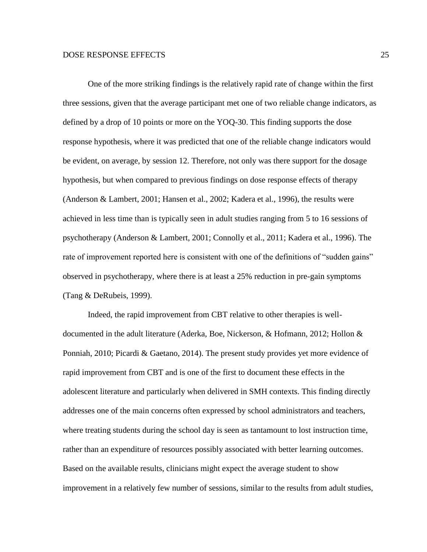One of the more striking findings is the relatively rapid rate of change within the first three sessions, given that the average participant met one of two reliable change indicators, as defined by a drop of 10 points or more on the YOQ-30. This finding supports the dose response hypothesis, where it was predicted that one of the reliable change indicators would be evident, on average, by session 12. Therefore, not only was there support for the dosage hypothesis, but when compared to previous findings on dose response effects of therapy (Anderson & Lambert, 2001; Hansen et al., 2002; Kadera et al., 1996), the results were achieved in less time than is typically seen in adult studies ranging from 5 to 16 sessions of psychotherapy (Anderson & Lambert, 2001; Connolly et al., 2011; Kadera et al., 1996). The rate of improvement reported here is consistent with one of the definitions of "sudden gains" observed in psychotherapy, where there is at least a 25% reduction in pre-gain symptoms (Tang & DeRubeis, 1999).

Indeed, the rapid improvement from CBT relative to other therapies is welldocumented in the adult literature (Aderka, Boe, Nickerson, & Hofmann, 2012; Hollon & Ponniah, 2010; Picardi & Gaetano, 2014). The present study provides yet more evidence of rapid improvement from CBT and is one of the first to document these effects in the adolescent literature and particularly when delivered in SMH contexts. This finding directly addresses one of the main concerns often expressed by school administrators and teachers, where treating students during the school day is seen as tantamount to lost instruction time, rather than an expenditure of resources possibly associated with better learning outcomes. Based on the available results, clinicians might expect the average student to show improvement in a relatively few number of sessions, similar to the results from adult studies,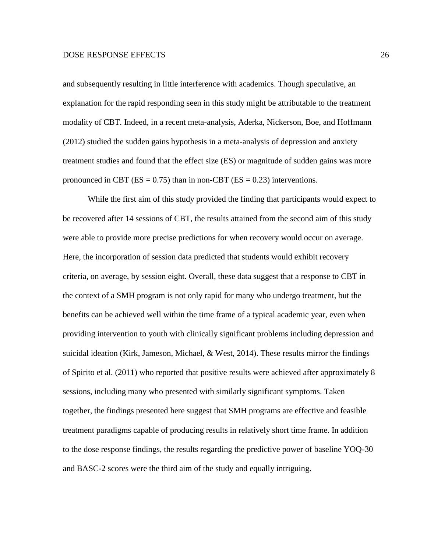and subsequently resulting in little interference with academics. Though speculative, an explanation for the rapid responding seen in this study might be attributable to the treatment modality of CBT. Indeed, in a recent meta-analysis, Aderka, Nickerson, Boe, and Hoffmann (2012) studied the sudden gains hypothesis in a meta-analysis of depression and anxiety treatment studies and found that the effect size (ES) or magnitude of sudden gains was more pronounced in CBT ( $ES = 0.75$ ) than in non-CBT ( $ES = 0.23$ ) interventions.

While the first aim of this study provided the finding that participants would expect to be recovered after 14 sessions of CBT, the results attained from the second aim of this study were able to provide more precise predictions for when recovery would occur on average. Here, the incorporation of session data predicted that students would exhibit recovery criteria, on average, by session eight. Overall, these data suggest that a response to CBT in the context of a SMH program is not only rapid for many who undergo treatment, but the benefits can be achieved well within the time frame of a typical academic year, even when providing intervention to youth with clinically significant problems including depression and suicidal ideation (Kirk, Jameson, Michael, & West, 2014). These results mirror the findings of Spirito et al. (2011) who reported that positive results were achieved after approximately 8 sessions, including many who presented with similarly significant symptoms. Taken together, the findings presented here suggest that SMH programs are effective and feasible treatment paradigms capable of producing results in relatively short time frame. In addition to the dose response findings, the results regarding the predictive power of baseline YOQ-30 and BASC-2 scores were the third aim of the study and equally intriguing.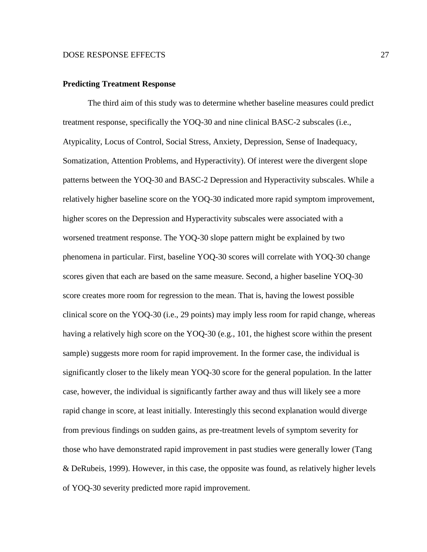#### **Predicting Treatment Response**

The third aim of this study was to determine whether baseline measures could predict treatment response, specifically the YOQ-30 and nine clinical BASC-2 subscales (i.e., Atypicality, Locus of Control, Social Stress, Anxiety, Depression, Sense of Inadequacy, Somatization, Attention Problems, and Hyperactivity). Of interest were the divergent slope patterns between the YOQ-30 and BASC-2 Depression and Hyperactivity subscales. While a relatively higher baseline score on the YOQ-30 indicated more rapid symptom improvement, higher scores on the Depression and Hyperactivity subscales were associated with a worsened treatment response. The YOQ-30 slope pattern might be explained by two phenomena in particular. First, baseline YOQ-30 scores will correlate with YOQ-30 change scores given that each are based on the same measure. Second, a higher baseline YOQ-30 score creates more room for regression to the mean. That is, having the lowest possible clinical score on the YOQ-30 (i.e., 29 points) may imply less room for rapid change, whereas having a relatively high score on the YOQ-30 (e.g., 101, the highest score within the present sample) suggests more room for rapid improvement. In the former case, the individual is significantly closer to the likely mean YOQ-30 score for the general population. In the latter case, however, the individual is significantly farther away and thus will likely see a more rapid change in score, at least initially. Interestingly this second explanation would diverge from previous findings on sudden gains, as pre-treatment levels of symptom severity for those who have demonstrated rapid improvement in past studies were generally lower (Tang & DeRubeis, 1999). However, in this case, the opposite was found, as relatively higher levels of YOQ-30 severity predicted more rapid improvement.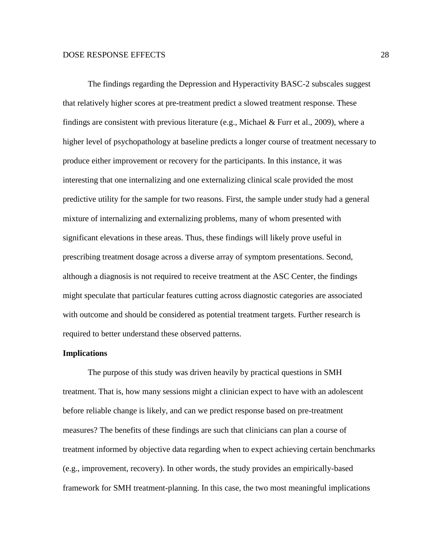The findings regarding the Depression and Hyperactivity BASC-2 subscales suggest that relatively higher scores at pre-treatment predict a slowed treatment response. These findings are consistent with previous literature (e.g., Michael & Furr et al., 2009), where a higher level of psychopathology at baseline predicts a longer course of treatment necessary to produce either improvement or recovery for the participants. In this instance, it was interesting that one internalizing and one externalizing clinical scale provided the most predictive utility for the sample for two reasons. First, the sample under study had a general mixture of internalizing and externalizing problems, many of whom presented with significant elevations in these areas. Thus, these findings will likely prove useful in prescribing treatment dosage across a diverse array of symptom presentations. Second, although a diagnosis is not required to receive treatment at the ASC Center, the findings might speculate that particular features cutting across diagnostic categories are associated with outcome and should be considered as potential treatment targets. Further research is required to better understand these observed patterns.

#### **Implications**

The purpose of this study was driven heavily by practical questions in SMH treatment. That is, how many sessions might a clinician expect to have with an adolescent before reliable change is likely, and can we predict response based on pre-treatment measures? The benefits of these findings are such that clinicians can plan a course of treatment informed by objective data regarding when to expect achieving certain benchmarks (e.g., improvement, recovery). In other words, the study provides an empirically-based framework for SMH treatment-planning. In this case, the two most meaningful implications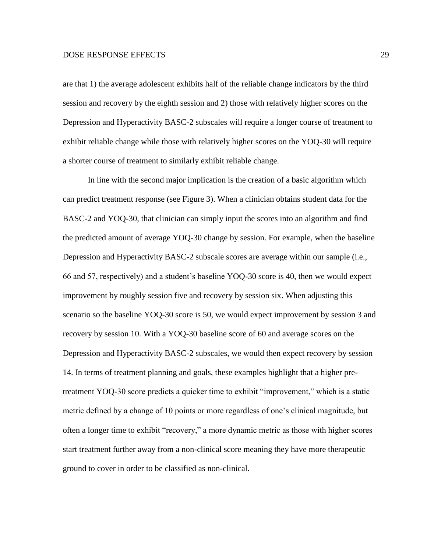are that 1) the average adolescent exhibits half of the reliable change indicators by the third session and recovery by the eighth session and 2) those with relatively higher scores on the Depression and Hyperactivity BASC-2 subscales will require a longer course of treatment to exhibit reliable change while those with relatively higher scores on the YOQ-30 will require a shorter course of treatment to similarly exhibit reliable change.

In line with the second major implication is the creation of a basic algorithm which can predict treatment response (see Figure 3). When a clinician obtains student data for the BASC-2 and YOQ-30, that clinician can simply input the scores into an algorithm and find the predicted amount of average YOQ-30 change by session. For example, when the baseline Depression and Hyperactivity BASC-2 subscale scores are average within our sample (i.e., 66 and 57, respectively) and a student's baseline YOQ-30 score is 40, then we would expect improvement by roughly session five and recovery by session six. When adjusting this scenario so the baseline YOQ-30 score is 50, we would expect improvement by session 3 and recovery by session 10. With a YOQ-30 baseline score of 60 and average scores on the Depression and Hyperactivity BASC-2 subscales, we would then expect recovery by session 14. In terms of treatment planning and goals, these examples highlight that a higher pretreatment YOQ-30 score predicts a quicker time to exhibit "improvement," which is a static metric defined by a change of 10 points or more regardless of one's clinical magnitude, but often a longer time to exhibit "recovery," a more dynamic metric as those with higher scores start treatment further away from a non-clinical score meaning they have more therapeutic ground to cover in order to be classified as non-clinical.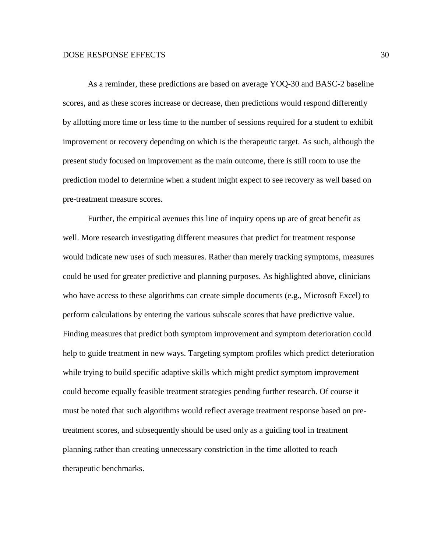As a reminder, these predictions are based on average YOQ-30 and BASC-2 baseline scores, and as these scores increase or decrease, then predictions would respond differently by allotting more time or less time to the number of sessions required for a student to exhibit improvement or recovery depending on which is the therapeutic target. As such, although the present study focused on improvement as the main outcome, there is still room to use the prediction model to determine when a student might expect to see recovery as well based on pre-treatment measure scores.

Further, the empirical avenues this line of inquiry opens up are of great benefit as well. More research investigating different measures that predict for treatment response would indicate new uses of such measures. Rather than merely tracking symptoms, measures could be used for greater predictive and planning purposes. As highlighted above, clinicians who have access to these algorithms can create simple documents (e.g., Microsoft Excel) to perform calculations by entering the various subscale scores that have predictive value. Finding measures that predict both symptom improvement and symptom deterioration could help to guide treatment in new ways. Targeting symptom profiles which predict deterioration while trying to build specific adaptive skills which might predict symptom improvement could become equally feasible treatment strategies pending further research. Of course it must be noted that such algorithms would reflect average treatment response based on pretreatment scores, and subsequently should be used only as a guiding tool in treatment planning rather than creating unnecessary constriction in the time allotted to reach therapeutic benchmarks.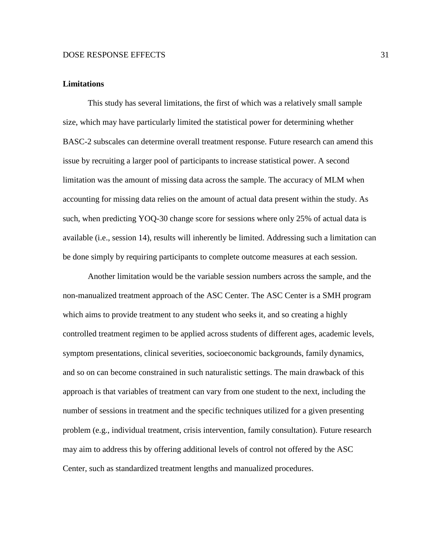#### **Limitations**

This study has several limitations, the first of which was a relatively small sample size, which may have particularly limited the statistical power for determining whether BASC-2 subscales can determine overall treatment response. Future research can amend this issue by recruiting a larger pool of participants to increase statistical power. A second limitation was the amount of missing data across the sample. The accuracy of MLM when accounting for missing data relies on the amount of actual data present within the study. As such, when predicting YOQ-30 change score for sessions where only 25% of actual data is available (i.e., session 14), results will inherently be limited. Addressing such a limitation can be done simply by requiring participants to complete outcome measures at each session.

Another limitation would be the variable session numbers across the sample, and the non-manualized treatment approach of the ASC Center. The ASC Center is a SMH program which aims to provide treatment to any student who seeks it, and so creating a highly controlled treatment regimen to be applied across students of different ages, academic levels, symptom presentations, clinical severities, socioeconomic backgrounds, family dynamics, and so on can become constrained in such naturalistic settings. The main drawback of this approach is that variables of treatment can vary from one student to the next, including the number of sessions in treatment and the specific techniques utilized for a given presenting problem (e.g., individual treatment, crisis intervention, family consultation). Future research may aim to address this by offering additional levels of control not offered by the ASC Center, such as standardized treatment lengths and manualized procedures.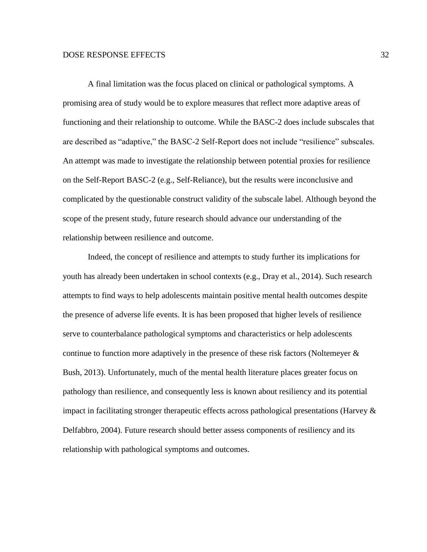A final limitation was the focus placed on clinical or pathological symptoms. A promising area of study would be to explore measures that reflect more adaptive areas of functioning and their relationship to outcome. While the BASC-2 does include subscales that are described as "adaptive," the BASC-2 Self-Report does not include "resilience" subscales. An attempt was made to investigate the relationship between potential proxies for resilience on the Self-Report BASC-2 (e.g., Self-Reliance), but the results were inconclusive and complicated by the questionable construct validity of the subscale label. Although beyond the scope of the present study, future research should advance our understanding of the relationship between resilience and outcome.

Indeed, the concept of resilience and attempts to study further its implications for youth has already been undertaken in school contexts (e.g., Dray et al., 2014). Such research attempts to find ways to help adolescents maintain positive mental health outcomes despite the presence of adverse life events. It is has been proposed that higher levels of resilience serve to counterbalance pathological symptoms and characteristics or help adolescents continue to function more adaptively in the presence of these risk factors (Noltemeyer  $\&$ Bush, 2013). Unfortunately, much of the mental health literature places greater focus on pathology than resilience, and consequently less is known about resiliency and its potential impact in facilitating stronger therapeutic effects across pathological presentations (Harvey  $\&$ Delfabbro, 2004). Future research should better assess components of resiliency and its relationship with pathological symptoms and outcomes.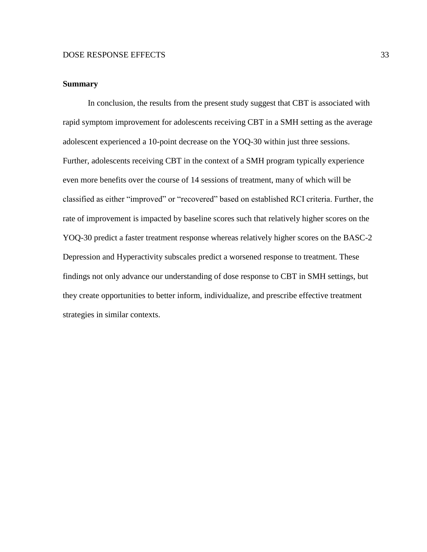#### **Summary**

In conclusion, the results from the present study suggest that CBT is associated with rapid symptom improvement for adolescents receiving CBT in a SMH setting as the average adolescent experienced a 10-point decrease on the YOQ-30 within just three sessions. Further, adolescents receiving CBT in the context of a SMH program typically experience even more benefits over the course of 14 sessions of treatment, many of which will be classified as either "improved" or "recovered" based on established RCI criteria. Further, the rate of improvement is impacted by baseline scores such that relatively higher scores on the YOQ-30 predict a faster treatment response whereas relatively higher scores on the BASC-2 Depression and Hyperactivity subscales predict a worsened response to treatment. These findings not only advance our understanding of dose response to CBT in SMH settings, but they create opportunities to better inform, individualize, and prescribe effective treatment strategies in similar contexts.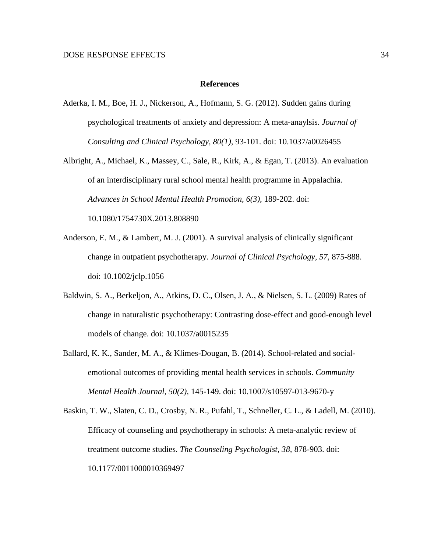#### **References**

- Aderka, I. M., Boe, H. J., Nickerson, A., Hofmann, S. G. (2012). Sudden gains during psychological treatments of anxiety and depression: A meta-anaylsis. *Journal of Consulting and Clinical Psychology, 80(1),* 93-101. doi: 10.1037/a0026455
- Albright, A., Michael, K., Massey, C., Sale, R., Kirk, A., & Egan, T. (2013). An evaluation of an interdisciplinary rural school mental health programme in Appalachia. *Advances in School Mental Health Promotion, 6(3),* 189-202. doi: 10.1080/1754730X.2013.808890
- Anderson, E. M., & Lambert, M. J. (2001). A survival analysis of clinically significant change in outpatient psychotherapy. *Journal of Clinical Psychology, 57,* 875-888. doi: 10.1002/jclp.1056
- Baldwin, S. A., Berkeljon, A., Atkins, D. C., Olsen, J. A., & Nielsen, S. L. (2009) Rates of change in naturalistic psychotherapy: Contrasting dose-effect and good-enough level models of change. doi: 10.1037/a0015235
- Ballard, K. K., Sander, M. A., & Klimes-Dougan, B. (2014). School-related and socialemotional outcomes of providing mental health services in schools. *Community Mental Health Journal, 50(2),* 145-149. doi: 10.1007/s10597-013-9670-y
- Baskin, T. W., Slaten, C. D., Crosby, N. R., Pufahl, T., Schneller, C. L., & Ladell, M. (2010). Efficacy of counseling and psychotherapy in schools: A meta-analytic review of treatment outcome studies. *The Counseling Psychologist, 38,* 878-903. doi: 10.1177/0011000010369497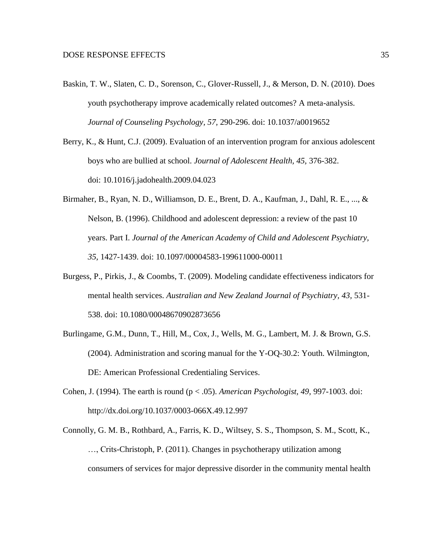- Baskin, T. W., Slaten, C. D., Sorenson, C., Glover-Russell, J., & Merson, D. N. (2010). Does youth psychotherapy improve academically related outcomes? A meta-analysis. *Journal of Counseling Psychology, 57,* 290-296. doi: 10.1037/a0019652
- Berry, K., & Hunt, C.J. (2009). Evaluation of an intervention program for anxious adolescent boys who are bullied at school. *Journal of Adolescent Health, 45,* 376-382. doi: 10.1016/j.jadohealth.2009.04.023
- Birmaher, B., Ryan, N. D., Williamson, D. E., Brent, D. A., Kaufman, J., Dahl, R. E., ..., & Nelson, B. (1996). Childhood and adolescent depression: a review of the past 10 years. Part I. *Journal of the American Academy of Child and Adolescent Psychiatry, 35,* 1427-1439. doi: 10.1097/00004583-199611000-00011
- Burgess, P., Pirkis, J., & Coombs, T. (2009). Modeling candidate effectiveness indicators for mental health services. *Australian and New Zealand Journal of Psychiatry, 43,* 531- 538. doi: 10.1080/00048670902873656
- Burlingame, G.M., Dunn, T., Hill, M., Cox, J., Wells, M. G., Lambert, M. J. & Brown, G.S. (2004). Administration and scoring manual for the Y-OQ-30.2: Youth. Wilmington, DE: American Professional Credentialing Services.
- Cohen, J. (1994). The earth is round (p < .05). *American Psychologist, 49,* 997-1003. doi: http://dx.doi.org/10.1037/0003-066X.49.12.997
- Connolly, G. M. B., Rothbard, A., Farris, K. D., Wiltsey, S. S., Thompson, S. M., Scott, K., …, Crits-Christoph, P. (2011). Changes in psychotherapy utilization among consumers of services for major depressive disorder in the community mental health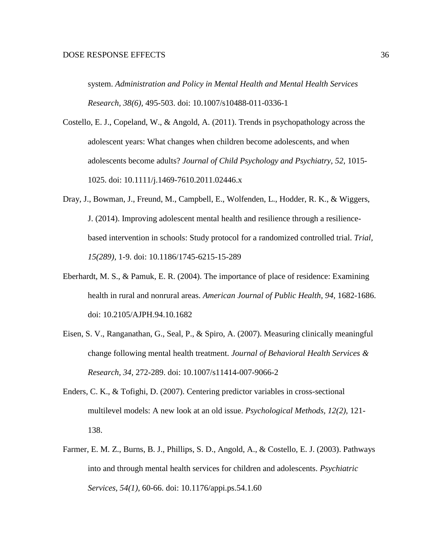system. *Administration and Policy in Mental Health and Mental Health Services Research, 38(6),* 495-503. doi: 10.1007/s10488-011-0336-1

Costello, E. J., Copeland, W., & Angold, A. (2011). Trends in psychopathology across the adolescent years: What changes when children become adolescents, and when adolescents become adults? *Journal of Child Psychology and Psychiatry, 52,* 1015- 1025. doi: 10.1111/j.1469-7610.2011.02446.x

- Dray, J., Bowman, J., Freund, M., Campbell, E., Wolfenden, L., Hodder, R. K., & Wiggers, J. (2014). Improving adolescent mental health and resilience through a resiliencebased intervention in schools: Study protocol for a randomized controlled trial. *Trial, 15(289),* 1-9. doi: 10.1186/1745-6215-15-289
- Eberhardt, M. S., & Pamuk, E. R. (2004). The importance of place of residence: Examining health in rural and nonrural areas. *American Journal of Public Health, 94,* 1682-1686. doi: 10.2105/AJPH.94.10.1682
- Eisen, S. V., Ranganathan, G., Seal, P., & Spiro, A. (2007). Measuring clinically meaningful change following mental health treatment. *Journal of Behavioral Health Services & Research, 34,* 272-289. doi: 10.1007/s11414-007-9066-2
- Enders, C. K., & Tofighi, D. (2007). Centering predictor variables in cross-sectional multilevel models: A new look at an old issue. *Psychological Methods, 12(2),* 121- 138.
- Farmer, E. M. Z., Burns, B. J., Phillips, S. D., Angold, A., & Costello, E. J. (2003). Pathways into and through mental health services for children and adolescents. *Psychiatric Services, 54(1),* 60-66. doi: 10.1176/appi.ps.54.1.60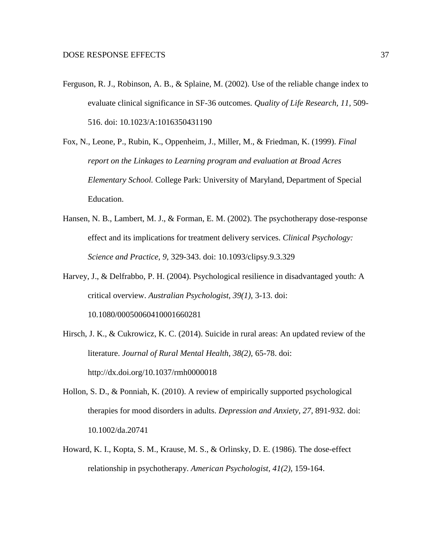- Ferguson, R. J., Robinson, A. B., & Splaine, M. (2002). Use of the reliable change index to evaluate clinical significance in SF-36 outcomes. *Quality of Life Research, 11,* 509- 516. doi: 10.1023/A:1016350431190
- Fox, N., Leone, P., Rubin, K., Oppenheim, J., Miller, M., & Friedman, K. (1999). *Final report on the Linkages to Learning program and evaluation at Broad Acres Elementary School.* College Park: University of Maryland, Department of Special Education.
- Hansen, N. B., Lambert, M. J., & Forman, E. M. (2002). The psychotherapy dose-response effect and its implications for treatment delivery services. *Clinical Psychology: Science and Practice, 9,* 329-343. doi: 10.1093/clipsy.9.3.329
- Harvey, J., & Delfrabbo, P. H. (2004). Psychological resilience in disadvantaged youth: A critical overview. *Australian Psychologist, 39(1),* 3-13. doi: 10.1080/00050060410001660281
- Hirsch, J. K., & Cukrowicz, K. C. (2014). Suicide in rural areas: An updated review of the literature. *Journal of Rural Mental Health, 38(2),* 65-78. doi: http://dx.doi.org/10.1037/rmh0000018
- Hollon, S. D., & Ponniah, K. (2010). A review of empirically supported psychological therapies for mood disorders in adults. *Depression and Anxiety, 27,* 891-932. doi: 10.1002/da.20741
- Howard, K. I., Kopta, S. M., Krause, M. S., & Orlinsky, D. E. (1986). The dose-effect relationship in psychotherapy. *American Psychologist, 41(2),* 159-164.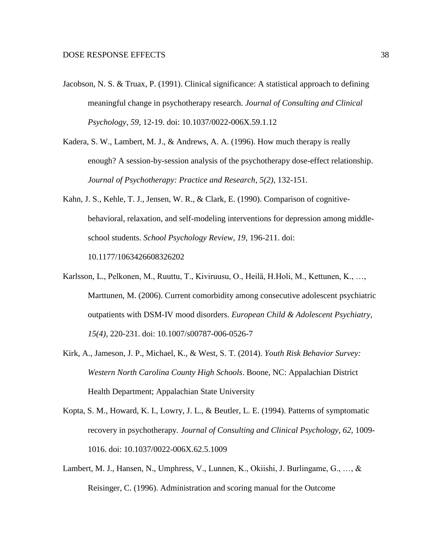- Jacobson, N. S. & Truax, P. (1991). Clinical significance: A statistical approach to defining meaningful change in psychotherapy research. *Journal of Consulting and Clinical Psychology, 59,* 12-19. doi: 10.1037/0022-006X.59.1.12
- Kadera, S. W., Lambert, M. J., & Andrews, A. A. (1996). How much therapy is really enough? A session-by-session analysis of the psychotherapy dose-effect relationship. Journal of Psychotherapy: Practice and Research, 5(2), 132-151.
- Kahn, J. S., Kehle, T. J., Jensen, W. R., & Clark, E. (1990). Comparison of cognitivebehavioral, relaxation, and self-modeling interventions for depression among middleschool students. *School Psychology Review, 19,* 196-211. doi: 10.1177/1063426608326202
- Karlsson, L., Pelkonen, M., Ruuttu, T., Kiviruusu, O., Heilä, H.Holi, M., Kettunen, K., …, Marttunen, M. (2006). Current comorbidity among consecutive adolescent psychiatric outpatients with DSM-IV mood disorders. *European Child & Adolescent Psychiatry, 15(4),* 220-231. doi: 10.1007/s00787-006-0526-7
- Kirk, A., Jameson, J. P., Michael, K., & West, S. T. (2014). *Youth Risk Behavior Survey: Western North Carolina County High Schools*. Boone, NC: Appalachian District Health Department; Appalachian State University
- Kopta, S. M., Howard, K. I., Lowry, J. L., & Beutler, L. E. (1994). Patterns of symptomatic recovery in psychotherapy. *Journal of Consulting and Clinical Psychology, 62,* 1009- 1016. doi: 10.1037/0022-006X.62.5.1009
- Lambert, M. J., Hansen, N., Umphress, V., Lunnen, K., Okiishi, J. Burlingame, G., …, & Reisinger, C. (1996). Administration and scoring manual for the Outcome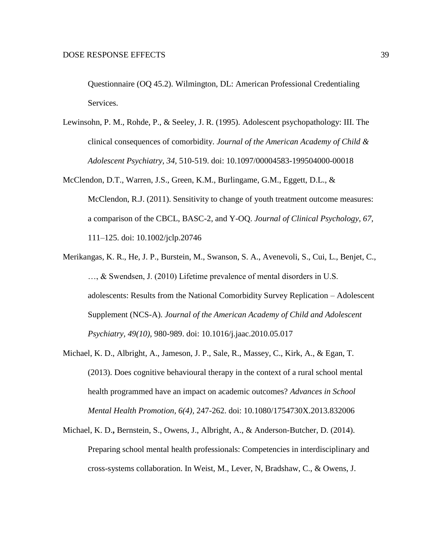Questionnaire (OQ 45.2). Wilmington, DL: American Professional Credentialing Services.

- Lewinsohn, P. M., Rohde, P., & Seeley, J. R. (1995). Adolescent psychopathology: III. The clinical consequences of comorbidity. *Journal of the American Academy of Child & Adolescent Psychiatry, 34,* 510-519. doi: 10.1097/00004583-199504000-00018
- McClendon, D.T., Warren, J.S., Green, K.M., Burlingame, G.M., Eggett, D.L., & McClendon, R.J. (2011). Sensitivity to change of youth treatment outcome measures: a comparison of the CBCL, BASC-2, and Y-OQ. *Journal of Clinical Psychology, 67,* 111–125. doi: 10.1002/jclp.20746
- Merikangas, K. R., He, J. P., Burstein, M., Swanson, S. A., Avenevoli, S., Cui, L., Benjet, C., …, & Swendsen, J. (2010) Lifetime prevalence of mental disorders in U.S. adolescents: Results from the National Comorbidity Survey Replication – Adolescent Supplement (NCS-A). *Journal of the American Academy of Child and Adolescent Psychiatry, 49(10),* 980-989. doi: 10.1016/j.jaac.2010.05.017
- Michael, K. D., Albright, A., Jameson, J. P., Sale, R., Massey, C., Kirk, A., & Egan, T. (2013). Does cognitive behavioural therapy in the context of a rural school mental health programmed have an impact on academic outcomes? *Advances in School Mental Health Promotion, 6(4),* 247-262. doi: 10.1080/1754730X.2013.832006
- Michael, K. D.**,** Bernstein, S., Owens, J., Albright, A., & Anderson-Butcher, D. (2014). Preparing school mental health professionals: Competencies in interdisciplinary and cross-systems collaboration. In Weist, M., Lever, N, Bradshaw, C., & Owens, J.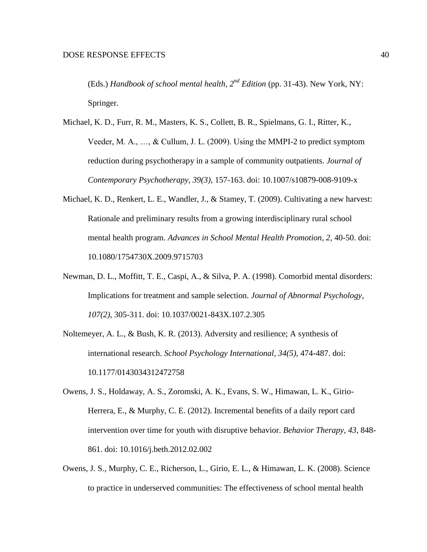(Eds.) *Handbook of school mental health, 2nd Edition* (pp. 31-43). New York, NY: Springer.

- Michael, K. D., Furr, R. M., Masters, K. S., Collett, B. R., Spielmans, G. I., Ritter, K., Veeder, M. A., …, & Cullum, J. L. (2009). Using the MMPI-2 to predict symptom reduction during psychotherapy in a sample of community outpatients. *Journal of Contemporary Psychotherapy, 39(3),* 157-163. doi: 10.1007/s10879-008-9109-x
- Michael, K. D., Renkert, L. E., Wandler, J., & Stamey, T. (2009). Cultivating a new harvest: Rationale and preliminary results from a growing interdisciplinary rural school mental health program. *Advances in School Mental Health Promotion, 2,* 40-50. doi: 10.1080/1754730X.2009.9715703
- Newman, D. L., Moffitt, T. E., Caspi, A., & Silva, P. A. (1998). Comorbid mental disorders: Implications for treatment and sample selection. *Journal of Abnormal Psychology, 107(2),* 305-311. doi: 10.1037/0021-843X.107.2.305
- Noltemeyer, A. L., & Bush, K. R. (2013). Adversity and resilience; A synthesis of international research. *School Psychology International, 34(5),* 474-487. doi: 10.1177/0143034312472758
- Owens, J. S., Holdaway, A. S., Zoromski, A. K., Evans, S. W., Himawan, L. K., Girio-Herrera, E., & Murphy, C. E. (2012). Incremental benefits of a daily report card intervention over time for youth with disruptive behavior. *Behavior Therapy, 43,* 848- 861. doi: 10.1016/j.beth.2012.02.002
- Owens, J. S., Murphy, C. E., Richerson, L., Girio, E. L., & Himawan, L. K. (2008). Science to practice in underserved communities: The effectiveness of school mental health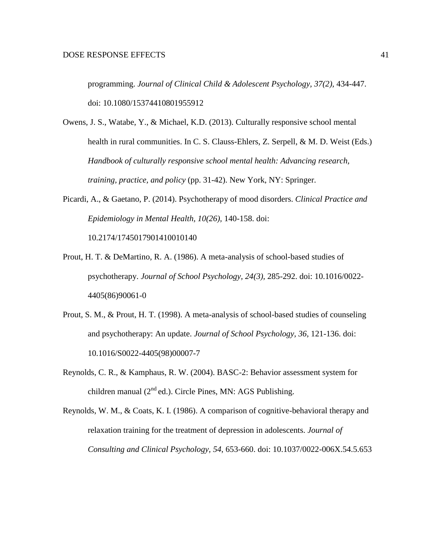programming. *Journal of Clinical Child & Adolescent Psychology, 37(2),* 434-447. doi: 10.1080/15374410801955912

Owens, J. S., Watabe, Y., & Michael, K.D. (2013). Culturally responsive school mental health in rural communities. In C. S. Clauss-Ehlers, Z. Serpell, & M. D. Weist (Eds.) *Handbook of culturally responsive school mental health: Advancing research, training, practice, and policy* (pp. 31-42). New York, NY: Springer.

Picardi, A., & Gaetano, P. (2014). Psychotherapy of mood disorders. *Clinical Practice and Epidemiology in Mental Health, 10(26),* 140-158. doi: 10.2174/1745017901410010140

- Prout, H. T. & DeMartino, R. A. (1986). A meta-analysis of school-based studies of psychotherapy. *Journal of School Psychology, 24(3),* 285-292. doi: 10.1016/0022- 4405(86)90061-0
- Prout, S. M., & Prout, H. T. (1998). A meta-analysis of school-based studies of counseling and psychotherapy: An update. *Journal of School Psychology, 36,* 121-136. doi: 10.1016/S0022-4405(98)00007-7
- Reynolds, C. R., & Kamphaus, R. W. (2004). BASC-2: Behavior assessment system for children manual  $(2^{nd}$  ed.). Circle Pines, MN: AGS Publishing.
- Reynolds, W. M., & Coats, K. I. (1986). A comparison of cognitive-behavioral therapy and relaxation training for the treatment of depression in adolescents. *Journal of Consulting and Clinical Psychology, 54*, 653-660. doi: 10.1037/0022-006X.54.5.653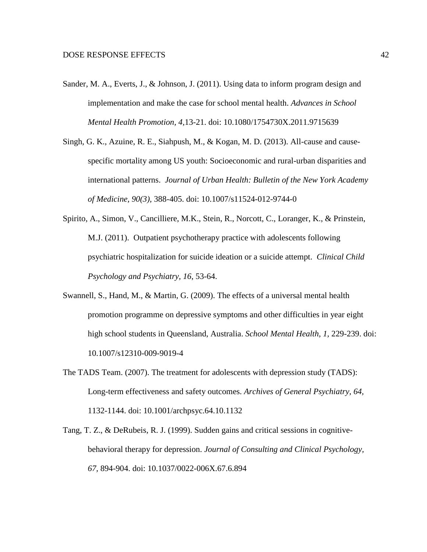- Sander, M. A., Everts, J., & Johnson, J. (2011). Using data to inform program design and implementation and make the case for school mental health. *Advances in School Mental Health Promotion, 4,*13-21. doi: 10.1080/1754730X.2011.9715639
- Singh, G. K., Azuine, R. E., Siahpush, M., & Kogan, M. D. (2013). All-cause and causespecific mortality among US youth: Socioeconomic and rural-urban disparities and international patterns. *Journal of Urban Health: Bulletin of the New York Academy of Medicine, 90(3),* 388-405. doi: 10.1007/s11524-012-9744-0
- Spirito, A., Simon, V., Cancilliere, M.K., Stein, R., Norcott, C., Loranger, K., & Prinstein, M.J. (2011). Outpatient psychotherapy practice with adolescents following psychiatric hospitalization for suicide ideation or a suicide attempt. *Clinical Child Psychology and Psychiatry, 16*, 53-64.
- Swannell, S., Hand, M., & Martin, G. (2009). The effects of a universal mental health promotion programme on depressive symptoms and other difficulties in year eight high school students in Queensland, Australia. *School Mental Health, 1,* 229-239. doi: 10.1007/s12310-009-9019-4
- The TADS Team. (2007). The treatment for adolescents with depression study (TADS): Long-term effectiveness and safety outcomes. *Archives of General Psychiatry, 64,*  1132-1144. doi: 10.1001/archpsyc.64.10.1132
- Tang, T. Z., & DeRubeis, R. J. (1999). Sudden gains and critical sessions in cognitivebehavioral therapy for depression. *Journal of Consulting and Clinical Psychology, 67,* 894-904. doi: 10.1037/0022-006X.67.6.894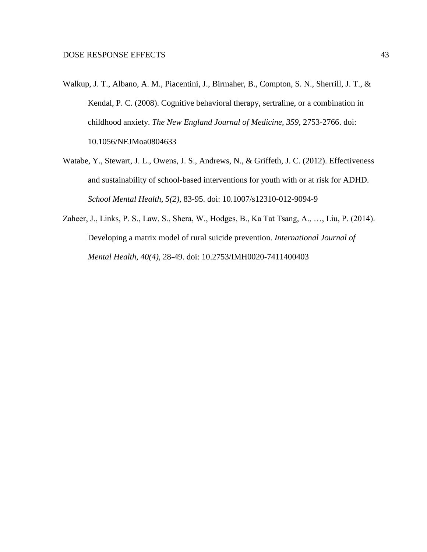- Walkup, J. T., Albano, A. M., Piacentini, J., Birmaher, B., Compton, S. N., Sherrill, J. T., & Kendal, P. C. (2008). Cognitive behavioral therapy, sertraline, or a combination in childhood anxiety. *The New England Journal of Medicine, 359,* 2753-2766. doi: 10.1056/NEJMoa0804633
- Watabe, Y., Stewart, J. L., Owens, J. S., Andrews, N., & Griffeth, J. C. (2012). Effectiveness and sustainability of school-based interventions for youth with or at risk for ADHD. *School Mental Health, 5(2),* 83-95. doi: 10.1007/s12310-012-9094-9
- Zaheer, J., Links, P. S., Law, S., Shera, W., Hodges, B., Ka Tat Tsang, A., …, Liu, P. (2014). Developing a matrix model of rural suicide prevention. *International Journal of Mental Health, 40(4),* 28-49. doi: 10.2753/IMH0020-7411400403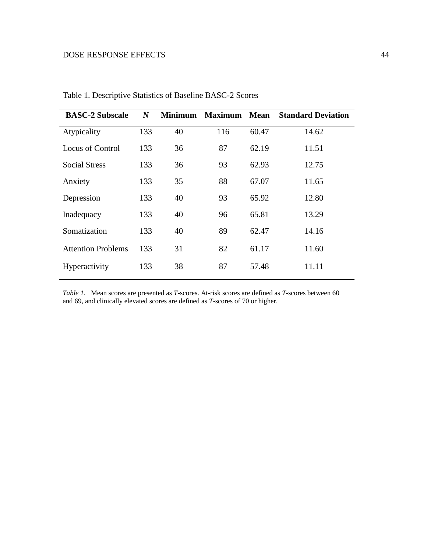| <b>BASC-2 Subscale</b>    | $\boldsymbol{N}$ | <b>Minimum</b> | <b>Maximum</b> | <b>Mean</b> | <b>Standard Deviation</b> |
|---------------------------|------------------|----------------|----------------|-------------|---------------------------|
| Atypicality               | 133              | 40             | 116            | 60.47       | 14.62                     |
| Locus of Control          | 133              | 36             | 87             | 62.19       | 11.51                     |
| <b>Social Stress</b>      | 133              | 36             | 93             | 62.93       | 12.75                     |
| Anxiety                   | 133              | 35             | 88             | 67.07       | 11.65                     |
| Depression                | 133              | 40             | 93             | 65.92       | 12.80                     |
| Inadequacy                | 133              | 40             | 96             | 65.81       | 13.29                     |
| Somatization              | 133              | 40             | 89             | 62.47       | 14.16                     |
| <b>Attention Problems</b> | 133              | 31             | 82             | 61.17       | 11.60                     |
| Hyperactivity             | 133              | 38             | 87             | 57.48       | 11.11                     |
|                           |                  |                |                |             |                           |

Table 1. Descriptive Statistics of Baseline BASC-2 Scores

*Table 1*. Mean scores are presented as *T*-scores. At-risk scores are defined as *T*-scores between 60 and 69, and clinically elevated scores are defined as *T*-scores of 70 or higher.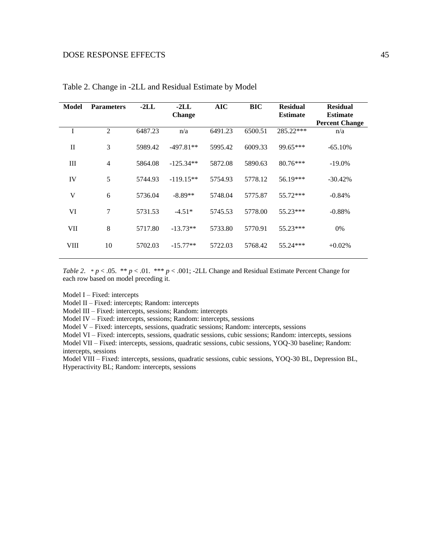| <b>Model</b> | <b>Parameters</b> | $-2LL$  | $-2LL$<br><b>Change</b> | <b>AIC</b> | <b>BIC</b> | <b>Residual</b><br><b>Estimate</b> | <b>Residual</b><br><b>Estimate</b> |
|--------------|-------------------|---------|-------------------------|------------|------------|------------------------------------|------------------------------------|
| I            | 2                 | 6487.23 | n/a                     | 6491.23    | 6500.51    | 285.22***                          | <b>Percent Change</b><br>n/a       |
| $\mathbf{I}$ | 3                 | 5989.42 | $-497.81**$             | 5995.42    | 6009.33    | 99.65***                           | $-65.10%$                          |
| Ш            | $\overline{4}$    | 5864.08 | $-125.34**$             | 5872.08    | 5890.63    | $80.76***$                         | $-19.0\%$                          |
| IV           | 5                 | 5744.93 | $-119.15**$             | 5754.93    | 5778.12    | 56.19***                           | $-30.42%$                          |
| V            | 6                 | 5736.04 | $-8.89**$               | 5748.04    | 5775.87    | 55.72***                           | $-0.84%$                           |
| VI           | 7                 | 5731.53 | $-4.51*$                | 5745.53    | 5778.00    | 55.23***                           | $-0.88%$                           |
| VII          | 8                 | 5717.80 | $-13.73**$              | 5733.80    | 5770.91    | 55.23***                           | 0%                                 |
| VIII         | 10                | 5702.03 | $-15.77**$              | 5722.03    | 5768.42    | $55.24***$                         | $+0.02%$                           |

Table 2. Change in -2LL and Residual Estimate by Model

*Table 2.* \*  $p < .05$ . \*\*  $p < .01$ . \*\*\*  $p < .001$ ; -2LL Change and Residual Estimate Percent Change for each row based on model preceding it.

Model I – Fixed: intercepts

Model II – Fixed: intercepts; Random: intercepts

Model III – Fixed: intercepts, sessions; Random: intercepts

Model IV – Fixed: intercepts, sessions; Random: intercepts, sessions

Model V – Fixed: intercepts, sessions, quadratic sessions; Random: intercepts, sessions

Model VI – Fixed: intercepts, sessions, quadratic sessions, cubic sessions; Random: intercepts, sessions

Model VII – Fixed: intercepts, sessions, quadratic sessions, cubic sessions, YOQ-30 baseline; Random: intercepts, sessions

Model VIII – Fixed: intercepts, sessions, quadratic sessions, cubic sessions, YOQ-30 BL, Depression BL, Hyperactivity BL; Random: intercepts, sessions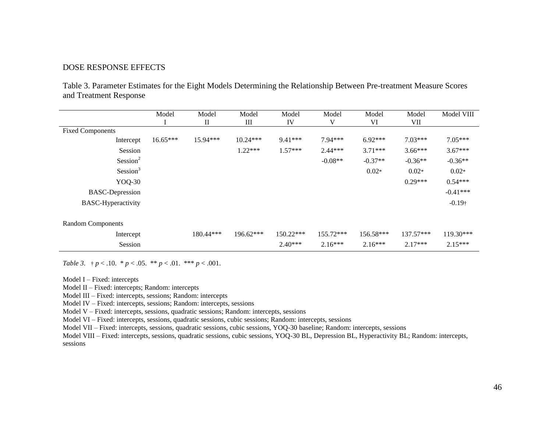Table 3. Parameter Estimates for the Eight Models Determining the Relationship Between Pre-treatment Measure Scores and Treatment Response

|                           | Model      | Model                           | Model       | Model       | Model     | Model       | Model       | Model VIII     |
|---------------------------|------------|---------------------------------|-------------|-------------|-----------|-------------|-------------|----------------|
|                           |            | $\mathop{\mathrm{II}}\nolimits$ | Ш           | IV          | V         | VI          | VII         |                |
| <b>Fixed Components</b>   |            |                                 |             |             |           |             |             |                |
| Intercept                 | $16.65***$ | $15.94***$                      | $10.24***$  | $9.41***$   | $7.94***$ | $6.92***$   | $7.03***$   | $7.05***$      |
| Session                   |            |                                 | $1.22***$   | $1.57***$   | $2.44***$ | $3.71***$   | $3.66***$   | $3.67***$      |
| Session <sup>2</sup>      |            |                                 |             |             | $-0.08**$ | $-0.37**$   | $-0.36**$   | $-0.36**$      |
| Session <sup>3</sup>      |            |                                 |             |             |           | $0.02*$     | $0.02*$     | $0.02*$        |
| YOQ-30                    |            |                                 |             |             |           |             | $0.29***$   | $0.54***$      |
| <b>BASC-Depression</b>    |            |                                 |             |             |           |             |             | $-0.41***$     |
| <b>BASC-Hyperactivity</b> |            |                                 |             |             |           |             |             | $-0.19\dagger$ |
|                           |            |                                 |             |             |           |             |             |                |
| <b>Random Components</b>  |            |                                 |             |             |           |             |             |                |
| Intercept                 |            | $180.44***$                     | $196.62***$ | $150.22***$ | 155.72*** | $156.58***$ | $137.57***$ | $119.30***$    |
| Session                   |            |                                 |             | $2.40***$   | $2.16***$ | $2.16***$   | $2.17***$   | $2.15***$      |

*Table 3.*  $\uparrow p < .10$ .  $\uparrow p < .05$ .  $\uparrow \uparrow p < .01$ .  $\uparrow \uparrow \uparrow p < .001$ .

Model I – Fixed: intercepts

Model II – Fixed: intercepts; Random: intercepts

Model III – Fixed: intercepts, sessions; Random: intercepts

Model IV – Fixed: intercepts, sessions; Random: intercepts, sessions

Model V – Fixed: intercepts, sessions, quadratic sessions; Random: intercepts, sessions

Model VI – Fixed: intercepts, sessions, quadratic sessions, cubic sessions; Random: intercepts, sessions

Model VII – Fixed: intercepts, sessions, quadratic sessions, cubic sessions, YOQ-30 baseline; Random: intercepts, sessions

Model VIII – Fixed: intercepts, sessions, quadratic sessions, cubic sessions, YOQ-30 BL, Depression BL, Hyperactivity BL; Random: intercepts, sessions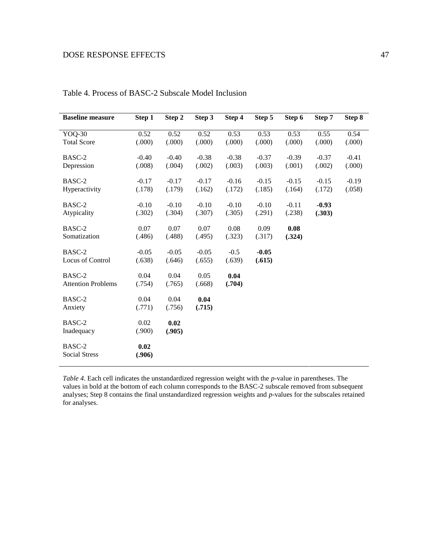| <b>Baseline measure</b>             | Step 1            | Step 2            | Step 3            | Step 4            | Step 5            | Step 6            | Step 7            | Step 8            |
|-------------------------------------|-------------------|-------------------|-------------------|-------------------|-------------------|-------------------|-------------------|-------------------|
| YOQ-30<br><b>Total Score</b>        | 0.52<br>(.000)    | 0.52<br>(.000)    | 0.52<br>(.000)    | 0.53<br>(.000)    | 0.53<br>(.000)    | 0.53<br>(.000)    | 0.55<br>(.000)    | 0.54<br>(.000)    |
| BASC-2<br>Depression                | $-0.40$<br>(.008) | $-0.40$<br>(.004) | $-0.38$<br>(.002) | $-0.38$<br>(.003) | $-0.37$<br>(.003) | $-0.39$<br>(.001) | $-0.37$<br>(.002) | $-0.41$<br>(.000) |
| BASC-2<br>Hyperactivity             | $-0.17$<br>(.178) | $-0.17$<br>(.179) | $-0.17$<br>(.162) | $-0.16$<br>(.172) | $-0.15$<br>(.185) | $-0.15$<br>(.164) | $-0.15$<br>(.172) | $-0.19$<br>(.058) |
| BASC-2<br>Atypicality               | $-0.10$<br>(.302) | $-0.10$<br>(.304) | $-0.10$<br>(.307) | $-0.10$<br>(.305) | $-0.10$<br>(.291) | $-0.11$<br>(.238) | $-0.93$<br>(.303) |                   |
| BASC-2<br>Somatization              | 0.07<br>(.486)    | 0.07<br>(.488)    | 0.07<br>(.495)    | 0.08<br>(.323)    | 0.09<br>(.317)    | 0.08<br>(.324)    |                   |                   |
| BASC-2<br>Locus of Control          | $-0.05$<br>(.638) | $-0.05$<br>(.646) | $-0.05$<br>(.655) | $-0.5$<br>(.639)  | $-0.05$<br>(.615) |                   |                   |                   |
| BASC-2<br><b>Attention Problems</b> | 0.04<br>(.754)    | 0.04<br>(.765)    | 0.05<br>(.668)    | 0.04<br>(.704)    |                   |                   |                   |                   |
| BASC-2<br>Anxiety                   | 0.04<br>(.771)    | 0.04<br>(.756)    | 0.04<br>(.715)    |                   |                   |                   |                   |                   |
| BASC-2<br>Inadequacy                | 0.02<br>(.900)    | 0.02<br>(.905)    |                   |                   |                   |                   |                   |                   |
| BASC-2<br><b>Social Stress</b>      | 0.02<br>(.906)    |                   |                   |                   |                   |                   |                   |                   |

|  | Table 4. Process of BASC-2 Subscale Model Inclusion |  |  |  |  |
|--|-----------------------------------------------------|--|--|--|--|
|--|-----------------------------------------------------|--|--|--|--|

*Table 4*. Each cell indicates the unstandardized regression weight with the *p*-value in parentheses. The values in bold at the bottom of each column corresponds to the BASC-2 subscale removed from subsequent analyses; Step 8 contains the final unstandardized regression weights and *p*-values for the subscales retained for analyses.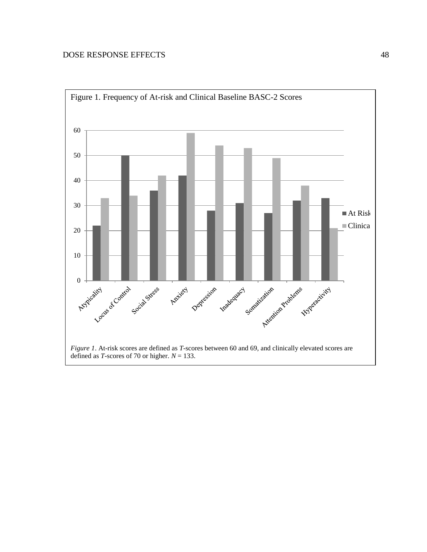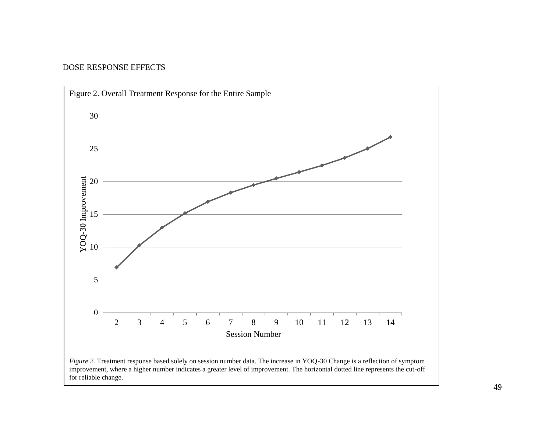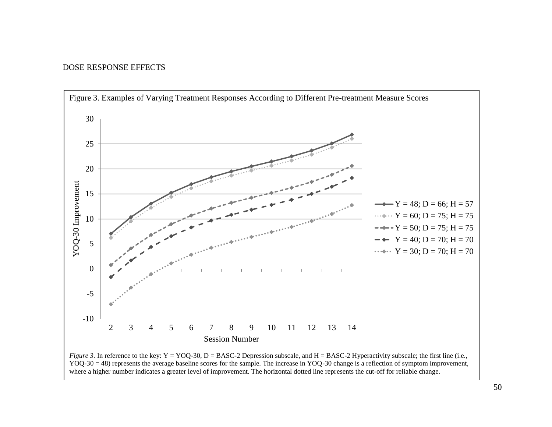

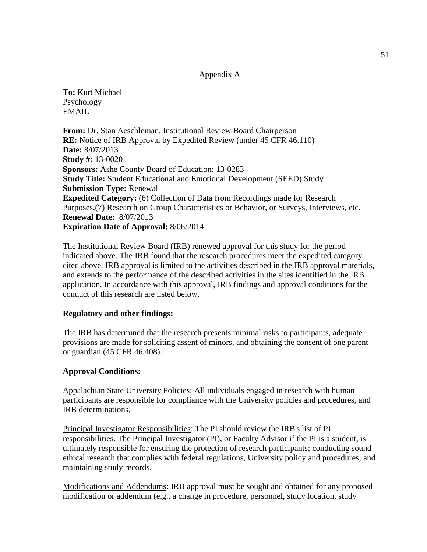#### Appendix A

**To:** Kurt Michael Psychology EMAIL

**From:** Dr. Stan Aeschleman, Institutional Review Board Chairperson **RE:** Notice of IRB Approval by Expedited Review (under 45 CFR 46.110) **Date:** 8/07/2013 **Study #:** 13-0020 **Sponsors:** Ashe County Board of Education: 13-0283 **Study Title:** Student Educational and Emotional Development (SEED) Study **Submission Type:** Renewal **Expedited Category:** (6) Collection of Data from Recordings made for Research Purposes,(7) Research on Group Characteristics or Behavior, or Surveys, Interviews, etc. **Renewal Date:** 8/07/2013 **Expiration Date of Approval:** 8/06/2014

The Institutional Review Board (IRB) renewed approval for this study for the period indicated above. The IRB found that the research procedures meet the expedited category cited above. IRB approval is limited to the activities described in the IRB approval materials, and extends to the performance of the described activities in the sites identified in the IRB application. In accordance with this approval, IRB findings and approval conditions for the conduct of this research are listed below.

### **Regulatory and other findings:**

The IRB has determined that the research presents minimal risks to participants, adequate provisions are made for soliciting assent of minors, and obtaining the consent of one parent or guardian (45 CFR 46.408).

### **Approval Conditions:**

Appalachian State University Policies: All individuals engaged in research with human participants are responsible for compliance with the University policies and procedures, and IRB determinations.

Principal Investigator Responsibilities: The PI should review the IRB's list of PI responsibilities. The Principal Investigator (PI), or Faculty Advisor if the PI is a student, is ultimately responsible for ensuring the protection of research participants; conducting sound ethical research that complies with federal regulations, University policy and procedures; and maintaining study records.

Modifications and Addendums: IRB approval must be sought and obtained for any proposed modification or addendum (e.g., a change in procedure, personnel, study location, study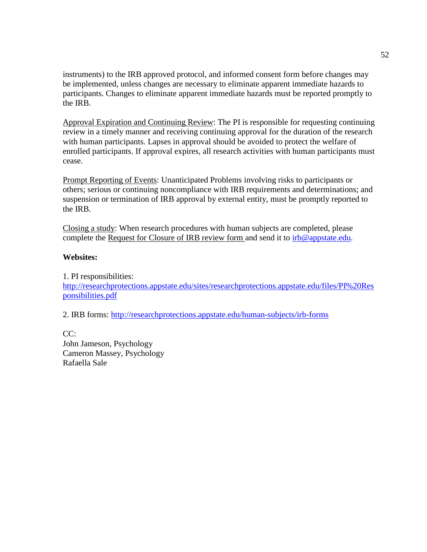instruments) to the IRB approved protocol, and informed consent form before changes may be implemented, unless changes are necessary to eliminate apparent immediate hazards to participants. Changes to eliminate apparent immediate hazards must be reported promptly to the IRB.

Approval Expiration and Continuing Review: The PI is responsible for requesting continuing review in a timely manner and receiving continuing approval for the duration of the research with human participants. Lapses in approval should be avoided to protect the welfare of enrolled participants. If approval expires, all research activities with human participants must cease.

Prompt Reporting of Events: Unanticipated Problems involving risks to participants or others; serious or continuing noncompliance with IRB requirements and determinations; and suspension or termination of IRB approval by external entity, must be promptly reported to the IRB.

Closing a study: When research procedures with human subjects are completed, please complete the Request for Closure of IRB review form and send it to  $irb@$  appstate.edu.

#### **Websites:**

1. PI responsibilities: [http://researchprotections.appstate.edu/sites/researchprotections.appstate.edu/files/PI%20Res](http://researchprotections.appstate.edu/sites/researchprotections.appstate.edu/files/PI%20Responsibilities.pdf) [ponsibilities.pdf](http://researchprotections.appstate.edu/sites/researchprotections.appstate.edu/files/PI%20Responsibilities.pdf)

2. IRB forms:<http://researchprotections.appstate.edu/human-subjects/irb-forms>

CC: John Jameson, Psychology Cameron Massey, Psychology Rafaella Sale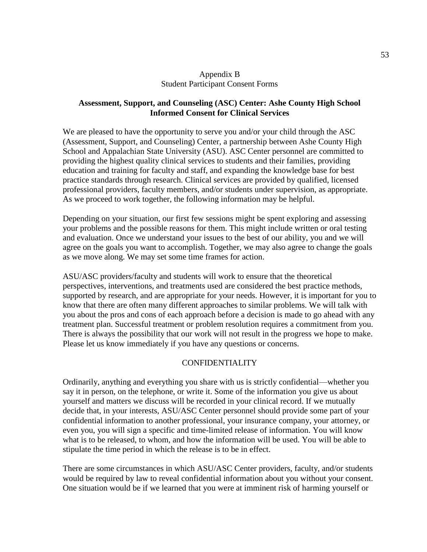### Appendix B Student Participant Consent Forms

### **Assessment, Support, and Counseling (ASC) Center: Ashe County High School Informed Consent for Clinical Services**

We are pleased to have the opportunity to serve you and/or your child through the ASC (Assessment, Support, and Counseling) Center, a partnership between Ashe County High School and Appalachian State University (ASU). ASC Center personnel are committed to providing the highest quality clinical services to students and their families, providing education and training for faculty and staff, and expanding the knowledge base for best practice standards through research. Clinical services are provided by qualified, licensed professional providers, faculty members, and/or students under supervision, as appropriate. As we proceed to work together, the following information may be helpful.

Depending on your situation, our first few sessions might be spent exploring and assessing your problems and the possible reasons for them. This might include written or oral testing and evaluation. Once we understand your issues to the best of our ability, you and we will agree on the goals you want to accomplish. Together, we may also agree to change the goals as we move along. We may set some time frames for action.

ASU/ASC providers/faculty and students will work to ensure that the theoretical perspectives, interventions, and treatments used are considered the best practice methods, supported by research, and are appropriate for your needs. However, it is important for you to know that there are often many different approaches to similar problems. We will talk with you about the pros and cons of each approach before a decision is made to go ahead with any treatment plan. Successful treatment or problem resolution requires a commitment from you. There is always the possibility that our work will not result in the progress we hope to make. Please let us know immediately if you have any questions or concerns.

## CONFIDENTIALITY

Ordinarily, anything and everything you share with us is strictly confidential—whether you say it in person, on the telephone, or write it. Some of the information you give us about yourself and matters we discuss will be recorded in your clinical record. If we mutually decide that, in your interests, ASU/ASC Center personnel should provide some part of your confidential information to another professional, your insurance company, your attorney, or even you, you will sign a specific and time-limited release of information. You will know what is to be released, to whom, and how the information will be used. You will be able to stipulate the time period in which the release is to be in effect.

There are some circumstances in which ASU/ASC Center providers, faculty, and/or students would be required by law to reveal confidential information about you without your consent. One situation would be if we learned that you were at imminent risk of harming yourself or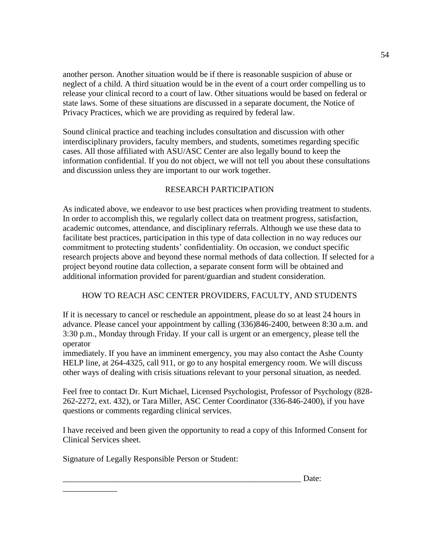another person. Another situation would be if there is reasonable suspicion of abuse or neglect of a child. A third situation would be in the event of a court order compelling us to release your clinical record to a court of law. Other situations would be based on federal or state laws. Some of these situations are discussed in a separate document, the Notice of Privacy Practices, which we are providing as required by federal law.

Sound clinical practice and teaching includes consultation and discussion with other interdisciplinary providers, faculty members, and students, sometimes regarding specific cases. All those affiliated with ASU/ASC Center are also legally bound to keep the information confidential. If you do not object, we will not tell you about these consultations and discussion unless they are important to our work together.

## RESEARCH PARTICIPATION

As indicated above, we endeavor to use best practices when providing treatment to students. In order to accomplish this, we regularly collect data on treatment progress, satisfaction, academic outcomes, attendance, and disciplinary referrals. Although we use these data to facilitate best practices, participation in this type of data collection in no way reduces our commitment to protecting students' confidentiality. On occasion, we conduct specific research projects above and beyond these normal methods of data collection. If selected for a project beyond routine data collection, a separate consent form will be obtained and additional information provided for parent/guardian and student consideration.

## HOW TO REACH ASC CENTER PROVIDERS, FACULTY, AND STUDENTS

If it is necessary to cancel or reschedule an appointment, please do so at least 24 hours in advance. Please cancel your appointment by calling (336)846-2400, between 8:30 a.m. and 3:30 p.m., Monday through Friday. If your call is urgent or an emergency, please tell the operator

immediately. If you have an imminent emergency, you may also contact the Ashe County HELP line, at 264-4325, call 911, or go to any hospital emergency room. We will discuss other ways of dealing with crisis situations relevant to your personal situation, as needed.

Feel free to contact Dr. Kurt Michael, Licensed Psychologist, Professor of Psychology (828- 262-2272, ext. 432), or Tara Miller, ASC Center Coordinator (336-846-2400), if you have questions or comments regarding clinical services.

I have received and been given the opportunity to read a copy of this Informed Consent for Clinical Services sheet.

Signature of Legally Responsible Person or Student:

\_\_\_\_\_\_\_\_\_\_\_\_\_

 $\Box$  Date: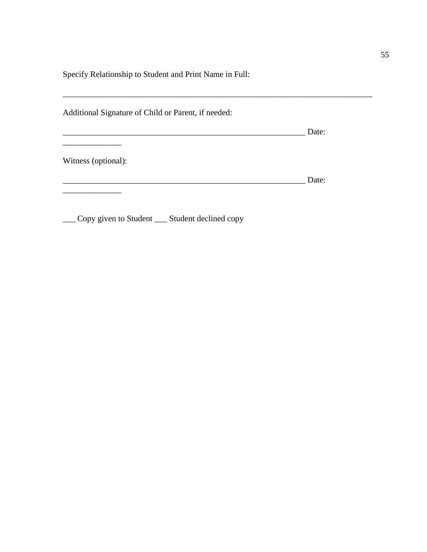Specify Relationship to Student and Print Name in Full:

| Additional Signature of Child or Parent, if needed: |       |  |
|-----------------------------------------------------|-------|--|
|                                                     | Date: |  |
| Witness (optional):                                 |       |  |
|                                                     | Date: |  |
|                                                     |       |  |

\_\_\_ Copy given to Student \_\_\_ Student declined copy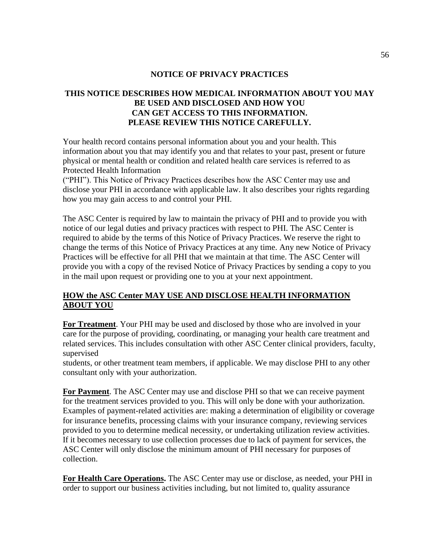## **NOTICE OF PRIVACY PRACTICES**

# **THIS NOTICE DESCRIBES HOW MEDICAL INFORMATION ABOUT YOU MAY BE USED AND DISCLOSED AND HOW YOU CAN GET ACCESS TO THIS INFORMATION. PLEASE REVIEW THIS NOTICE CAREFULLY.**

Your health record contains personal information about you and your health. This information about you that may identify you and that relates to your past, present or future physical or mental health or condition and related health care services is referred to as Protected Health Information

("PHI"). This Notice of Privacy Practices describes how the ASC Center may use and disclose your PHI in accordance with applicable law. It also describes your rights regarding how you may gain access to and control your PHI.

The ASC Center is required by law to maintain the privacy of PHI and to provide you with notice of our legal duties and privacy practices with respect to PHI. The ASC Center is required to abide by the terms of this Notice of Privacy Practices. We reserve the right to change the terms of this Notice of Privacy Practices at any time. Any new Notice of Privacy Practices will be effective for all PHI that we maintain at that time. The ASC Center will provide you with a copy of the revised Notice of Privacy Practices by sending a copy to you in the mail upon request or providing one to you at your next appointment.

## **HOW the ASC Center MAY USE AND DISCLOSE HEALTH INFORMATION ABOUT YOU**

**For Treatment**. Your PHI may be used and disclosed by those who are involved in your care for the purpose of providing, coordinating, or managing your health care treatment and related services. This includes consultation with other ASC Center clinical providers, faculty, supervised

students, or other treatment team members, if applicable. We may disclose PHI to any other consultant only with your authorization.

**For Payment**. The ASC Center may use and disclose PHI so that we can receive payment for the treatment services provided to you. This will only be done with your authorization. Examples of payment-related activities are: making a determination of eligibility or coverage for insurance benefits, processing claims with your insurance company, reviewing services provided to you to determine medical necessity, or undertaking utilization review activities. If it becomes necessary to use collection processes due to lack of payment for services, the ASC Center will only disclose the minimum amount of PHI necessary for purposes of collection.

**For Health Care Operations.** The ASC Center may use or disclose, as needed, your PHI in order to support our business activities including, but not limited to, quality assurance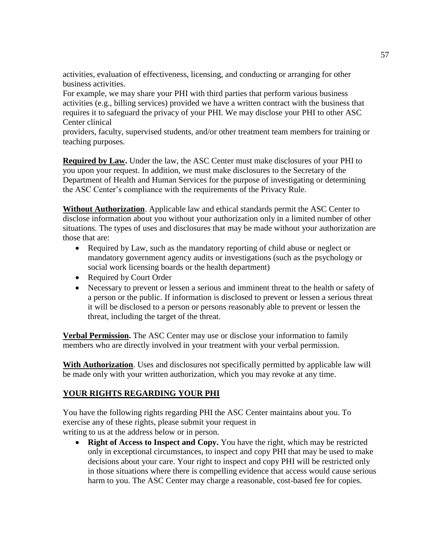activities, evaluation of effectiveness, licensing, and conducting or arranging for other business activities.

For example, we may share your PHI with third parties that perform various business activities (e.g., billing services) provided we have a written contract with the business that requires it to safeguard the privacy of your PHI. We may disclose your PHI to other ASC Center clinical

providers, faculty, supervised students, and/or other treatment team members for training or teaching purposes.

**Required by Law.** Under the law, the ASC Center must make disclosures of your PHI to you upon your request. In addition, we must make disclosures to the Secretary of the Department of Health and Human Services for the purpose of investigating or determining the ASC Center's compliance with the requirements of the Privacy Rule.

**Without Authorization**. Applicable law and ethical standards permit the ASC Center to disclose information about you without your authorization only in a limited number of other situations. The types of uses and disclosures that may be made without your authorization are those that are:

- Required by Law, such as the mandatory reporting of child abuse or neglect or mandatory government agency audits or investigations (such as the psychology or social work licensing boards or the health department)
- Required by Court Order
- Necessary to prevent or lessen a serious and imminent threat to the health or safety of a person or the public. If information is disclosed to prevent or lessen a serious threat it will be disclosed to a person or persons reasonably able to prevent or lessen the threat, including the target of the threat.

**Verbal Permission.** The ASC Center may use or disclose your information to family members who are directly involved in your treatment with your verbal permission.

**With Authorization**. Uses and disclosures not specifically permitted by applicable law will be made only with your written authorization, which you may revoke at any time.

# **YOUR RIGHTS REGARDING YOUR PHI**

You have the following rights regarding PHI the ASC Center maintains about you. To exercise any of these rights, please submit your request in writing to us at the address below or in person.

• **Right of Access to Inspect and Copy.** You have the right, which may be restricted only in exceptional circumstances, to inspect and copy PHI that may be used to make decisions about your care. Your right to inspect and copy PHI will be restricted only in those situations where there is compelling evidence that access would cause serious harm to you. The ASC Center may charge a reasonable, cost-based fee for copies.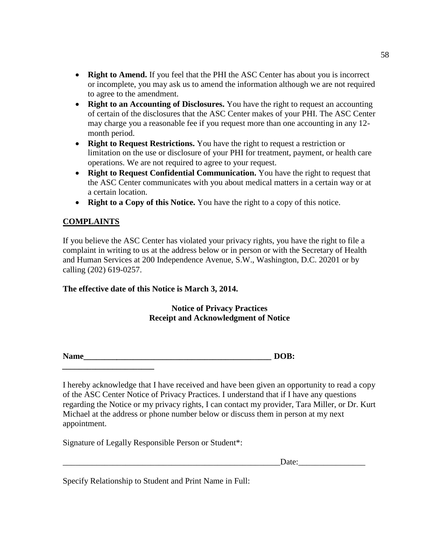- **Right to Amend.** If you feel that the PHI the ASC Center has about you is incorrect or incomplete, you may ask us to amend the information although we are not required to agree to the amendment.
- **Right to an Accounting of Disclosures.** You have the right to request an accounting of certain of the disclosures that the ASC Center makes of your PHI. The ASC Center may charge you a reasonable fee if you request more than one accounting in any 12 month period.
- **Right to Request Restrictions.** You have the right to request a restriction or limitation on the use or disclosure of your PHI for treatment, payment, or health care operations. We are not required to agree to your request.
- **Right to Request Confidential Communication.** You have the right to request that the ASC Center communicates with you about medical matters in a certain way or at a certain location.
- **Right to a Copy of this Notice.** You have the right to a copy of this notice.

## **COMPLAINTS**

*\_\_\_\_\_\_\_\_\_\_\_\_\_\_\_\_\_\_\_\_\_\_*

If you believe the ASC Center has violated your privacy rights, you have the right to file a complaint in writing to us at the address below or in person or with the Secretary of Health and Human Services at 200 Independence Avenue, S.W., Washington, D.C. 20201 or by calling (202) 619-0257.

### **The effective date of this Notice is March 3, 2014.**

**Notice of Privacy Practices Receipt and Acknowledgment of Notice**

**Name DOB:** *DOB***:** *DOB***:** *DOB***:** *DOB***:** *DOB***:** *DOB***:** *DOB***:** *DOB***:** *DOB***:** *DOB***:** *DOB***:** *DOB***:** *DOB***:** *DOB***:** *DOB***:** *DOB***:** *DOB***:** *DOB***:** *DOB***:** *DOB***:** *DOB***:** *DOB***:** *DOB***:**

I hereby acknowledge that I have received and have been given an opportunity to read a copy of the ASC Center Notice of Privacy Practices. I understand that if I have any questions regarding the Notice or my privacy rights, I can contact my provider, Tara Miller, or Dr. Kurt Michael at the address or phone number below or discuss them in person at my next appointment.

Signature of Legally Responsible Person or Student\*:

 $Date:$ 

Specify Relationship to Student and Print Name in Full: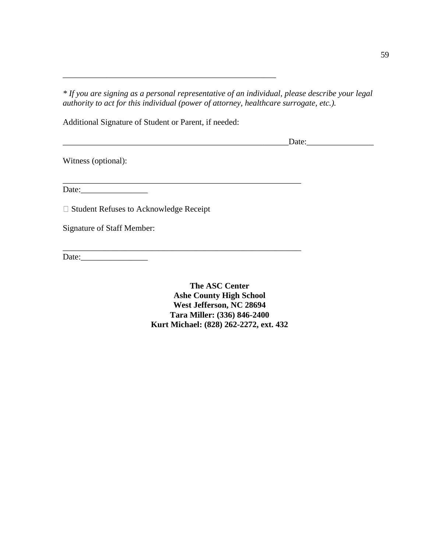*\* If you are signing as a personal representative of an individual, please describe your legal authority to act for this individual (power of attorney, healthcare surrogate, etc.).*

Additional Signature of Student or Parent, if needed:

\_\_\_\_\_\_\_\_\_\_\_\_\_\_\_\_\_\_\_\_\_\_\_\_\_\_\_\_\_\_\_\_\_\_\_\_\_\_\_\_\_\_\_\_\_\_\_\_\_\_\_

\_\_\_\_\_\_\_\_\_\_\_\_\_\_\_\_\_\_\_\_\_\_\_\_\_\_\_\_\_\_\_\_\_\_\_\_\_\_\_\_\_\_\_\_\_\_\_\_\_\_\_\_\_\_\_\_\_

\_\_\_\_\_\_\_\_\_\_\_\_\_\_\_\_\_\_\_\_\_\_\_\_\_\_\_\_\_\_\_\_\_\_\_\_\_\_\_\_\_\_\_\_\_\_\_\_\_\_\_\_\_\_\_\_\_

\_\_\_\_\_\_\_\_\_\_\_\_\_\_\_\_\_\_\_\_\_\_\_\_\_\_\_\_\_\_\_\_\_\_\_\_\_\_\_\_\_\_\_\_\_\_\_\_\_\_\_\_\_\_Date:\_\_\_\_\_\_\_\_\_\_\_\_\_\_\_\_

Witness (optional):

Date:\_\_\_\_\_\_\_\_\_\_\_\_\_\_\_\_

□ Student Refuses to Acknowledge Receipt

Signature of Staff Member:

Date:

**The ASC Center Ashe County High School West Jefferson, NC 28694 Tara Miller: (336) 846-2400 Kurt Michael: (828) 262-2272, ext. 432**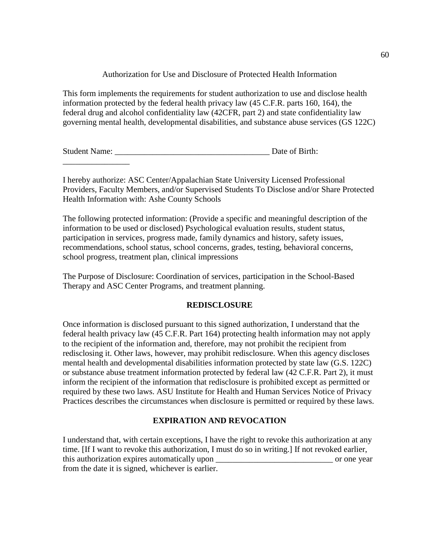## Authorization for Use and Disclosure of Protected Health Information

This form implements the requirements for student authorization to use and disclose health information protected by the federal health privacy law (45 C.F.R. parts 160, 164), the federal drug and alcohol confidentiality law (42CFR, part 2) and state confidentiality law governing mental health, developmental disabilities, and substance abuse services (GS 122C)

Student Name: \_\_\_\_\_\_\_\_\_\_\_\_\_\_\_\_\_\_\_\_\_\_\_\_\_\_\_\_\_\_\_\_\_\_\_\_\_ Date of Birth:

\_\_\_\_\_\_\_\_\_\_\_\_\_\_\_\_

I hereby authorize: ASC Center/Appalachian State University Licensed Professional Providers, Faculty Members, and/or Supervised Students To Disclose and/or Share Protected Health Information with: Ashe County Schools

The following protected information: (Provide a specific and meaningful description of the information to be used or disclosed) Psychological evaluation results, student status, participation in services, progress made, family dynamics and history, safety issues, recommendations, school status, school concerns, grades, testing, behavioral concerns, school progress, treatment plan, clinical impressions

The Purpose of Disclosure: Coordination of services, participation in the School-Based Therapy and ASC Center Programs, and treatment planning.

## **REDISCLOSURE**

Once information is disclosed pursuant to this signed authorization, I understand that the federal health privacy law (45 C.F.R. Part 164) protecting health information may not apply to the recipient of the information and, therefore, may not prohibit the recipient from redisclosing it. Other laws, however, may prohibit redisclosure. When this agency discloses mental health and developmental disabilities information protected by state law (G.S. 122C) or substance abuse treatment information protected by federal law (42 C.F.R. Part 2), it must inform the recipient of the information that redisclosure is prohibited except as permitted or required by these two laws. ASU Institute for Health and Human Services Notice of Privacy Practices describes the circumstances when disclosure is permitted or required by these laws.

# **EXPIRATION AND REVOCATION**

I understand that, with certain exceptions, I have the right to revoke this authorization at any time. [If I want to revoke this authorization, I must do so in writing.] If not revoked earlier, this authorization expires automatically upon \_\_\_\_\_\_\_\_\_\_\_\_\_\_\_\_\_\_\_\_\_\_\_\_\_\_\_\_ or one year from the date it is signed, whichever is earlier.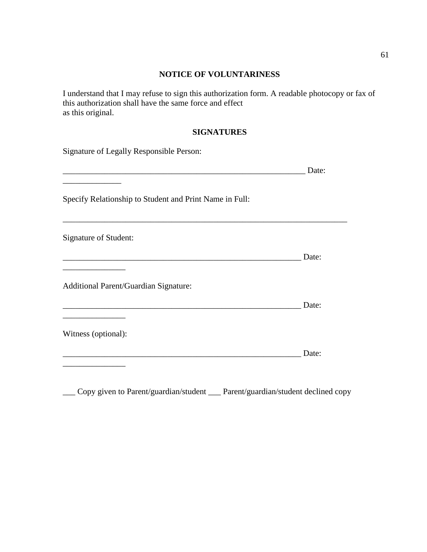# **NOTICE OF VOLUNTARINESS**

I understand that I may refuse to sign this authorization form. A readable photocopy or fax of this authorization shall have the same force and effect as this original.

## **SIGNATURES**

| Signature of Legally Responsible Person:                |       |
|---------------------------------------------------------|-------|
|                                                         | Date: |
| Specify Relationship to Student and Print Name in Full: |       |
| Signature of Student:                                   |       |
|                                                         | Date: |
| <b>Additional Parent/Guardian Signature:</b>            |       |
|                                                         | Date: |
| Witness (optional):                                     |       |
|                                                         | Date: |
|                                                         |       |

\_\_\_ Copy given to Parent/guardian/student \_\_\_ Parent/guardian/student declined copy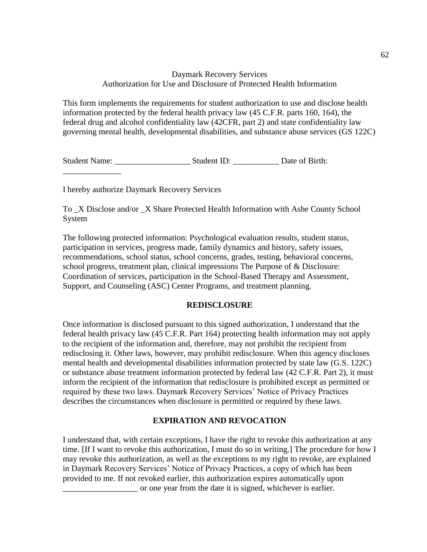## Daymark Recovery Services Authorization for Use and Disclosure of Protected Health Information

This form implements the requirements for student authorization to use and disclose health information protected by the federal health privacy law (45 C.F.R. parts 160, 164), the federal drug and alcohol confidentiality law (42CFR, part 2) and state confidentiality law governing mental health, developmental disabilities, and substance abuse services (GS 122C)

Student Name: \_\_\_\_\_\_\_\_\_\_\_\_\_\_\_\_\_\_ Student ID: \_\_\_\_\_\_\_\_\_\_\_ Date of Birth:

I hereby authorize Daymark Recovery Services

\_\_\_\_\_\_\_\_\_\_\_\_\_\_

To \_X Disclose and/or \_X Share Protected Health Information with Ashe County School System

The following protected information: Psychological evaluation results, student status, participation in services, progress made, family dynamics and history, safety issues, recommendations, school status, school concerns, grades, testing, behavioral concerns, school progress, treatment plan, clinical impressions The Purpose of & Disclosure: Coordination of services, participation in the School-Based Therapy and Assessment, Support, and Counseling (ASC) Center Programs, and treatment planning.

### **REDISCLOSURE**

Once information is disclosed pursuant to this signed authorization, I understand that the federal health privacy law (45 C.F.R. Part 164) protecting health information may not apply to the recipient of the information and, therefore, may not prohibit the recipient from redisclosing it. Other laws, however, may prohibit redisclosure. When this agency discloses mental health and developmental disabilities information protected by state law (G.S. 122C) or substance abuse treatment information protected by federal law (42 C.F.R. Part 2), it must inform the recipient of the information that redisclosure is prohibited except as permitted or required by these two laws. Daymark Recovery Services' Notice of Privacy Practices describes the circumstances when disclosure is permitted or required by these laws.

## **EXPIRATION AND REVOCATION**

I understand that, with certain exceptions, I have the right to revoke this authorization at any time. [If I want to revoke this authorization, I must do so in writing.] The procedure for how I may revoke this authorization, as well as the exceptions to my right to revoke, are explained in Daymark Recovery Services' Notice of Privacy Practices, a copy of which has been provided to me. If not revoked earlier, this authorization expires automatically upon \_\_\_\_\_\_\_\_\_\_\_\_\_\_\_\_\_\_ or one year from the date it is signed, whichever is earlier.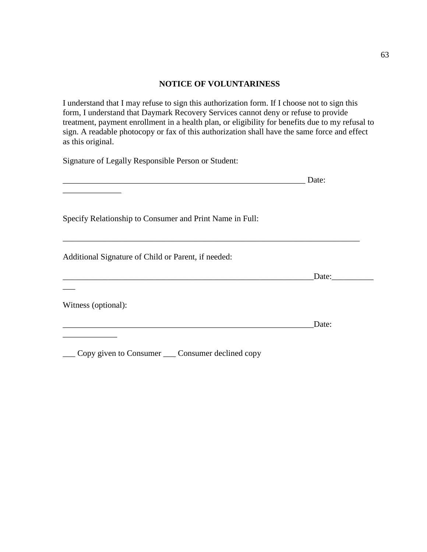#### **NOTICE OF VOLUNTARINESS**

I understand that I may refuse to sign this authorization form. If I choose not to sign this form, I understand that Daymark Recovery Services cannot deny or refuse to provide treatment, payment enrollment in a health plan, or eligibility for benefits due to my refusal to sign. A readable photocopy or fax of this authorization shall have the same force and effect as this original.

Signature of Legally Responsible Person or Student:

\_\_\_ Copy given to Consumer \_\_\_ Consumer declined copy

|                                                          | Date: |
|----------------------------------------------------------|-------|
|                                                          |       |
| Specify Relationship to Consumer and Print Name in Full: |       |
| Additional Signature of Child or Parent, if needed:      |       |
|                                                          | Date: |
|                                                          |       |
| Witness (optional):                                      |       |
|                                                          | Date: |
|                                                          |       |

63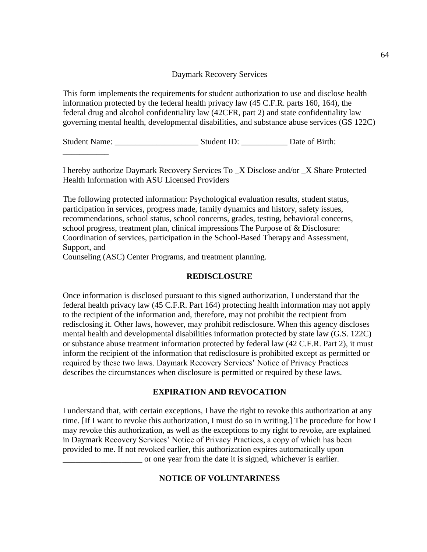#### Daymark Recovery Services

This form implements the requirements for student authorization to use and disclose health information protected by the federal health privacy law (45 C.F.R. parts 160, 164), the federal drug and alcohol confidentiality law (42CFR, part 2) and state confidentiality law governing mental health, developmental disabilities, and substance abuse services (GS 122C)

Student Name: \_\_\_\_\_\_\_\_\_\_\_\_\_\_\_\_\_\_\_\_ Student ID: \_\_\_\_\_\_\_\_\_\_\_ Date of Birth:

I hereby authorize Daymark Recovery Services To \_X Disclose and/or \_X Share Protected Health Information with ASU Licensed Providers

The following protected information: Psychological evaluation results, student status, participation in services, progress made, family dynamics and history, safety issues, recommendations, school status, school concerns, grades, testing, behavioral concerns, school progress, treatment plan, clinical impressions The Purpose of & Disclosure: Coordination of services, participation in the School-Based Therapy and Assessment, Support, and

Counseling (ASC) Center Programs, and treatment planning.

\_\_\_\_\_\_\_\_\_\_\_

## **REDISCLOSURE**

Once information is disclosed pursuant to this signed authorization, I understand that the federal health privacy law (45 C.F.R. Part 164) protecting health information may not apply to the recipient of the information and, therefore, may not prohibit the recipient from redisclosing it. Other laws, however, may prohibit redisclosure. When this agency discloses mental health and developmental disabilities information protected by state law (G.S. 122C) or substance abuse treatment information protected by federal law (42 C.F.R. Part 2), it must inform the recipient of the information that redisclosure is prohibited except as permitted or required by these two laws. Daymark Recovery Services' Notice of Privacy Practices describes the circumstances when disclosure is permitted or required by these laws.

## **EXPIRATION AND REVOCATION**

I understand that, with certain exceptions, I have the right to revoke this authorization at any time. [If I want to revoke this authorization, I must do so in writing.] The procedure for how I may revoke this authorization, as well as the exceptions to my right to revoke, are explained in Daymark Recovery Services' Notice of Privacy Practices, a copy of which has been provided to me. If not revoked earlier, this authorization expires automatically upon \_\_\_\_\_\_\_\_\_\_\_\_\_\_\_\_\_\_\_ or one year from the date it is signed, whichever is earlier.

## **NOTICE OF VOLUNTARINESS**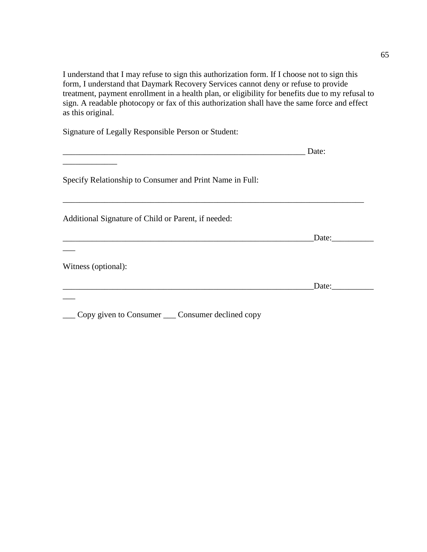I understand that I may refuse to sign this authorization form. If I choose not to sign this form, I understand that Daymark Recovery Services cannot deny or refuse to provide treatment, payment enrollment in a health plan, or eligibility for benefits due to my refusal to sign. A readable photocopy or fax of this authorization shall have the same force and effect as this original.

Signature of Legally Responsible Person or Student:

|                                                          | Date: |
|----------------------------------------------------------|-------|
| Specify Relationship to Consumer and Print Name in Full: |       |
| Additional Signature of Child or Parent, if needed:      |       |
|                                                          | Date: |
|                                                          |       |
| Witness (optional):                                      |       |
|                                                          | Date: |

\_\_\_ Copy given to Consumer \_\_\_ Consumer declined copy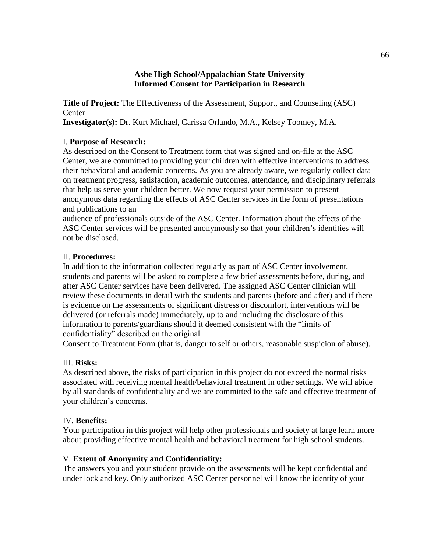#### **Ashe High School/Appalachian State University Informed Consent for Participation in Research**

**Title of Project:** The Effectiveness of the Assessment, Support, and Counseling (ASC) **Center** 

**Investigator(s):** Dr. Kurt Michael, Carissa Orlando, M.A., Kelsey Toomey, M.A.

## I. **Purpose of Research:**

As described on the Consent to Treatment form that was signed and on-file at the ASC Center, we are committed to providing your children with effective interventions to address their behavioral and academic concerns. As you are already aware, we regularly collect data on treatment progress, satisfaction, academic outcomes, attendance, and disciplinary referrals that help us serve your children better. We now request your permission to present anonymous data regarding the effects of ASC Center services in the form of presentations and publications to an

audience of professionals outside of the ASC Center. Information about the effects of the ASC Center services will be presented anonymously so that your children's identities will not be disclosed.

## II. **Procedures:**

In addition to the information collected regularly as part of ASC Center involvement, students and parents will be asked to complete a few brief assessments before, during, and after ASC Center services have been delivered. The assigned ASC Center clinician will review these documents in detail with the students and parents (before and after) and if there is evidence on the assessments of significant distress or discomfort, interventions will be delivered (or referrals made) immediately, up to and including the disclosure of this information to parents/guardians should it deemed consistent with the "limits of confidentiality" described on the original

Consent to Treatment Form (that is, danger to self or others, reasonable suspicion of abuse).

# III. **Risks:**

As described above, the risks of participation in this project do not exceed the normal risks associated with receiving mental health/behavioral treatment in other settings. We will abide by all standards of confidentiality and we are committed to the safe and effective treatment of your children's concerns.

## IV. **Benefits:**

Your participation in this project will help other professionals and society at large learn more about providing effective mental health and behavioral treatment for high school students.

# V. **Extent of Anonymity and Confidentiality:**

The answers you and your student provide on the assessments will be kept confidential and under lock and key. Only authorized ASC Center personnel will know the identity of your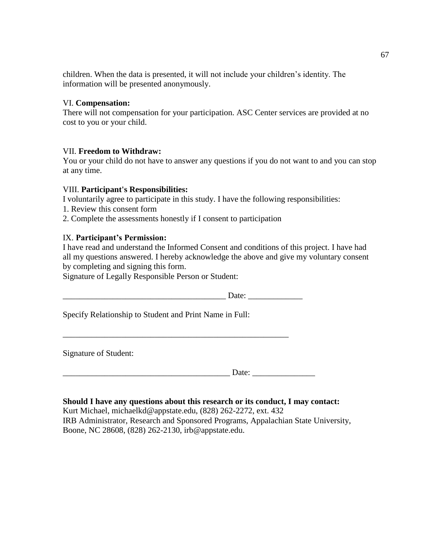children. When the data is presented, it will not include your children's identity. The information will be presented anonymously.

#### VI. **Compensation:**

There will not compensation for your participation. ASC Center services are provided at no cost to you or your child.

## VII. **Freedom to Withdraw:**

You or your child do not have to answer any questions if you do not want to and you can stop at any time.

#### VIII. **Participant's Responsibilities:**

I voluntarily agree to participate in this study. I have the following responsibilities:

- 1. Review this consent form
- 2. Complete the assessments honestly if I consent to participation

## IX. **Participant's Permission:**

I have read and understand the Informed Consent and conditions of this project. I have had all my questions answered. I hereby acknowledge the above and give my voluntary consent by completing and signing this form.

Signature of Legally Responsible Person or Student:

 $Date:$ 

Specify Relationship to Student and Print Name in Full:

\_\_\_\_\_\_\_\_\_\_\_\_\_\_\_\_\_\_\_\_\_\_\_\_\_\_\_\_\_\_\_\_\_\_\_\_\_\_\_\_\_\_\_\_\_\_\_\_\_\_\_\_\_\_

Signature of Student:

\_\_\_\_\_\_\_\_\_\_\_\_\_\_\_\_\_\_\_\_\_\_\_\_\_\_\_\_\_\_\_\_\_\_\_\_\_\_\_\_ Date: \_\_\_\_\_\_\_\_\_\_\_\_\_\_\_

# **Should I have any questions about this research or its conduct, I may contact:**

Kurt Michael, michaelkd@appstate.edu, (828) 262-2272, ext. 432 IRB Administrator, Research and Sponsored Programs, Appalachian State University, Boone, NC 28608, (828) 262-2130, irb@appstate.edu.